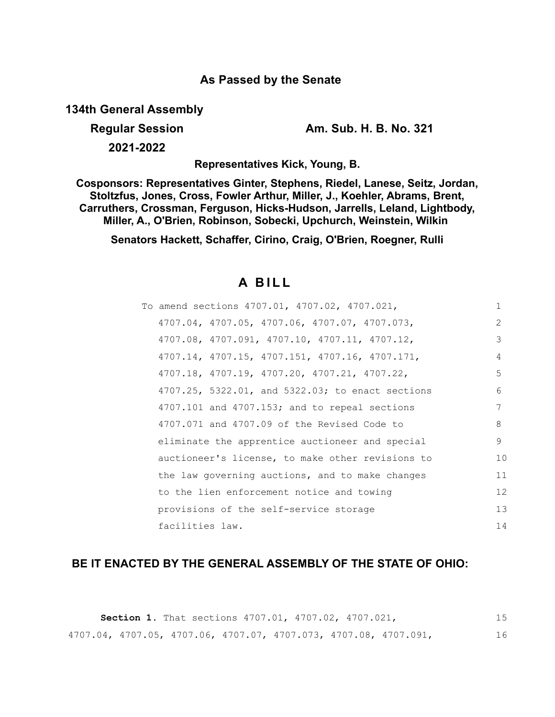## **As Passed by the Senate**

**134th General Assembly**

**Regular Session Am. Sub. H. B. No. 321**

**2021-2022**

**Representatives Kick, Young, B.**

**Cosponsors: Representatives Ginter, Stephens, Riedel, Lanese, Seitz, Jordan, Stoltzfus, Jones, Cross, Fowler Arthur, Miller, J., Koehler, Abrams, Brent, Carruthers, Crossman, Ferguson, Hicks-Hudson, Jarrells, Leland, Lightbody, Miller, A., O'Brien, Robinson, Sobecki, Upchurch, Weinstein, Wilkin** 

**Senators Hackett, Schaffer, Cirino, Craig, O'Brien, Roegner, Rulli**

# **A B I L L**

| To amend sections 4707.01, 4707.02, 4707.021,      | $\mathbf{1}$  |
|----------------------------------------------------|---------------|
| 4707.04, 4707.05, 4707.06, 4707.07, 4707.073,      | $\mathcal{L}$ |
| 4707.08, 4707.091, 4707.10, 4707.11, 4707.12,      | 3             |
| 4707.14, 4707.15, 4707.151, 4707.16, 4707.171,     | 4             |
| 4707.18, 4707.19, 4707.20, 4707.21, 4707.22,       | 5             |
| 4707.25, 5322.01, and 5322.03; to enact sections   | 6             |
| $4707.101$ and $4707.153$ ; and to repeal sections | 7             |
| 4707.071 and 4707.09 of the Revised Code to        | 8             |
| eliminate the apprentice auctioneer and special    | 9             |
| auctioneer's license, to make other revisions to   | 10            |
| the law governing auctions, and to make changes    | 11            |
| to the lien enforcement notice and towing          | 12            |
| provisions of the self-service storage             | 13            |
| facilities law.                                    | 14            |

## **BE IT ENACTED BY THE GENERAL ASSEMBLY OF THE STATE OF OHIO:**

|  |  | <b>Section 1.</b> That sections 4707.01, 4707.02, 4707.021,      |  |    |
|--|--|------------------------------------------------------------------|--|----|
|  |  | 4707.04, 4707.05, 4707.06, 4707.07, 4707.073, 4707.08, 4707.091, |  | 16 |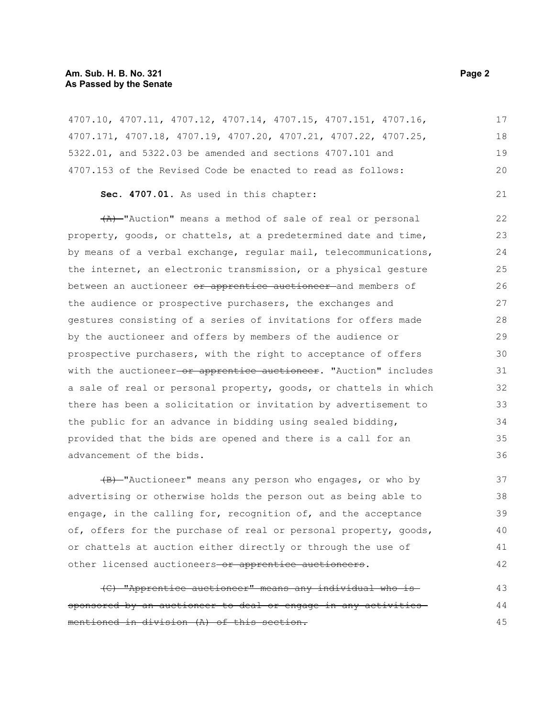#### **Am. Sub. H. B. No. 321 Page 2 Page 2 As Passed by the Senate**

4707.10, 4707.11, 4707.12, 4707.14, 4707.15, 4707.151, 4707.16, 4707.171, 4707.18, 4707.19, 4707.20, 4707.21, 4707.22, 4707.25, 5322.01, and 5322.03 be amended and sections 4707.101 and 4707.153 of the Revised Code be enacted to read as follows: **Sec. 4707.01.** As used in this chapter: (A) "Auction" means a method of sale of real or personal property, goods, or chattels, at a predetermined date and time, by means of a verbal exchange, regular mail, telecommunications, the internet, an electronic transmission, or a physical gesture between an auctioneer or apprentice auctioneer and members of the audience or prospective purchasers, the exchanges and gestures consisting of a series of invitations for offers made by the auctioneer and offers by members of the audience or prospective purchasers, with the right to acceptance of offers with the auctioneer or apprentice auctioneer. "Auction" includes a sale of real or personal property, goods, or chattels in which there has been a solicitation or invitation by advertisement to the public for an advance in bidding using sealed bidding, provided that the bids are opened and there is a call for an advancement of the bids. (B) "Auctioneer" means any person who engages, or who by 17 18 19 20 21 22 23 24 25 26 27 28 29 30 31 32 33 34 35 36 37 38

advertising or otherwise holds the person out as being able to engage, in the calling for, recognition of, and the acceptance of, offers for the purchase of real or personal property, goods, or chattels at auction either directly or through the use of other licensed auctioneers-or apprentice auctioneers. 39 40 41 42

(C) "Apprentice auctioneer" means any individual who is sponsored by an auctioneer to deal or engage in any activities mentioned in division (A) of this section. 43 44 45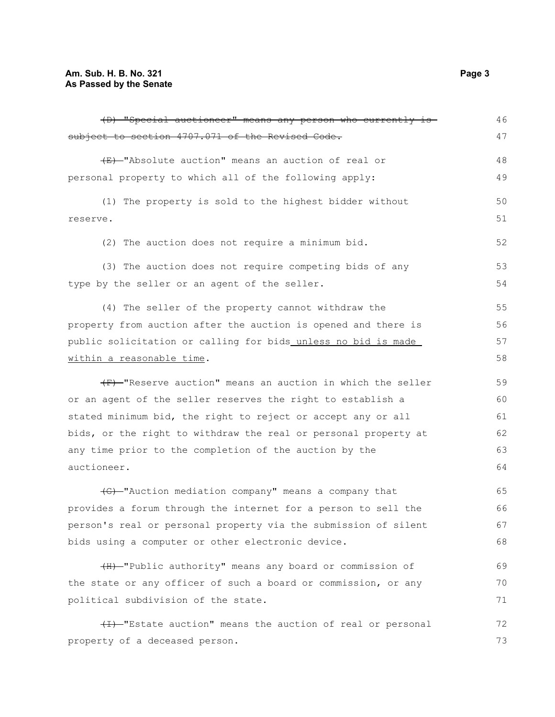| (D) "Special auctioneer" means any person who currently is      | 46 |
|-----------------------------------------------------------------|----|
| subject to section 4707.071 of the Revised Code.                | 47 |
| (E) -"Absolute auction" means an auction of real or             | 48 |
| personal property to which all of the following apply:          | 49 |
| (1) The property is sold to the highest bidder without          | 50 |
| reserve.                                                        | 51 |
| (2) The auction does not require a minimum bid.                 | 52 |
| (3) The auction does not require competing bids of any          | 53 |
| type by the seller or an agent of the seller.                   | 54 |
| (4) The seller of the property cannot withdraw the              | 55 |
| property from auction after the auction is opened and there is  | 56 |
| public solicitation or calling for bids unless no bid is made   | 57 |
| within a reasonable time.                                       | 58 |
| (F) Weserve auction" means an auction in which the seller       | 59 |
| or an agent of the seller reserves the right to establish a     | 60 |
| stated minimum bid, the right to reject or accept any or all    | 61 |
| bids, or the right to withdraw the real or personal property at | 62 |
| any time prior to the completion of the auction by the          | 63 |
| auctioneer.                                                     | 64 |
| (G)-"Auction mediation company" means a company that            | 65 |
| provides a forum through the internet for a person to sell the  | 66 |
| person's real or personal property via the submission of silent | 67 |
| bids using a computer or other electronic device.               | 68 |
| (H) "Public authority" means any board or commission of         | 69 |
| the state or any officer of such a board or commission, or any  | 70 |
| political subdivision of the state.                             | 71 |
| (I) "Estate auction" means the auction of real or personal      | 72 |
| property of a deceased person.                                  | 73 |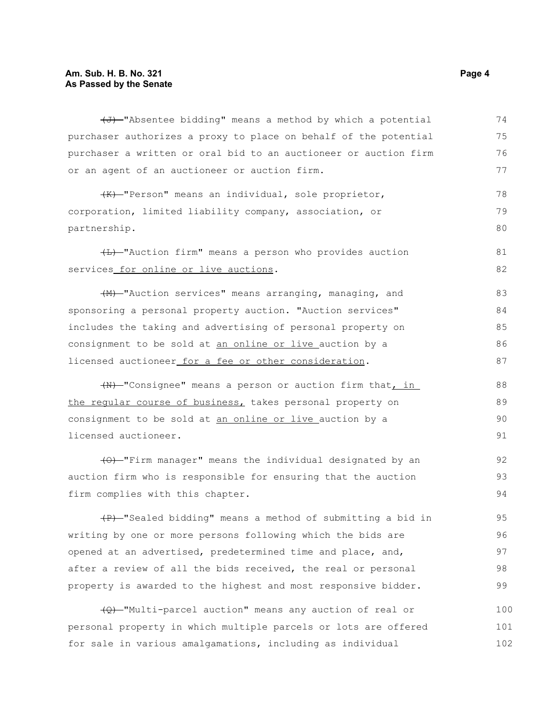#### **Am. Sub. H. B. No. 321 Page 4 As Passed by the Senate**

| (J) "Absentee bidding" means a method by which a potential       | 74 |
|------------------------------------------------------------------|----|
| purchaser authorizes a proxy to place on behalf of the potential | 75 |
| purchaser a written or oral bid to an auctioneer or auction firm | 76 |
| or an agent of an auctioneer or auction firm.                    | 77 |
| (K)-"Person" means an individual, sole proprietor,               | 78 |
| corporation, limited liability company, association, or          | 79 |
| partnership.                                                     | 80 |
| (L) -"Auction firm" means a person who provides auction          | 81 |
| services_for_online_or_live_auctions.                            | 82 |
| (M) -"Auction services" means arranging, managing, and           | 83 |
| sponsoring a personal property auction. "Auction services"       | 84 |
| includes the taking and advertising of personal property on      | 85 |
| consignment to be sold at an online or live auction by a         | 86 |
| licensed auctioneer for a fee or other consideration.            | 87 |
| (N) "Consignee" means a person or auction firm that, in          | 88 |
| the reqular course of business, takes personal property on       | 89 |
| consignment to be sold at an online or live auction by a         | 90 |
| licensed auctioneer.                                             | 91 |
| (0) "Firm manager" means the individual designated by an         | 92 |
| auction firm who is responsible for ensuring that the auction    | 93 |
| firm complies with this chapter.                                 | 94 |
| (P) -"Sealed bidding" means a method of submitting a bid in      | 95 |
| writing by one or more persons following which the bids are      | 96 |
|                                                                  |    |

opened at an advertised, predetermined time and place, and, after a review of all the bids received, the real or personal property is awarded to the highest and most responsive bidder. 97 98 99

(Q) "Multi-parcel auction" means any auction of real or personal property in which multiple parcels or lots are offered for sale in various amalgamations, including as individual 100 101 102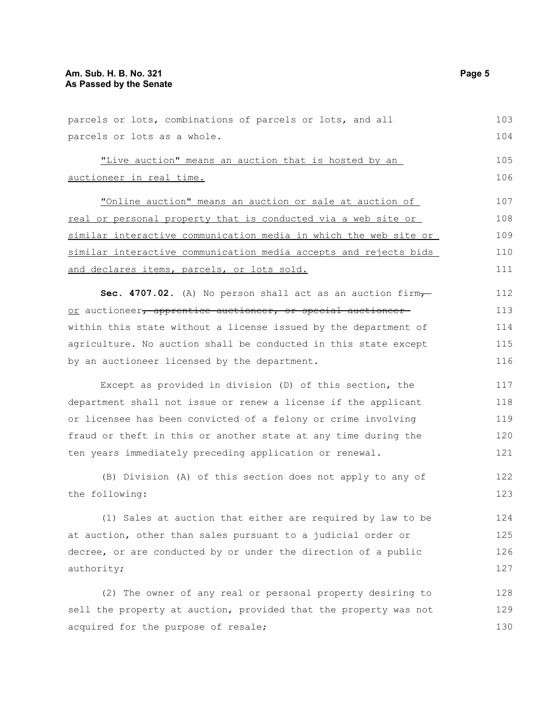| parcels or lots, combinations of parcels or lots, and all                       | 103 |
|---------------------------------------------------------------------------------|-----|
| parcels or lots as a whole.                                                     | 104 |
| "Live auction" means an auction that is hosted by an                            | 105 |
| auctioneer in real time.                                                        | 106 |
| "Online auction" means an auction or sale at auction of                         | 107 |
| real or personal property that is conducted via a web site or                   | 108 |
| similar interactive communication media in which the web site or                | 109 |
| similar interactive communication media accepts and rejects bids                | 110 |
| and declares items, parcels, or lots sold.                                      | 111 |
|                                                                                 |     |
| Sec. 4707.02. (A) No person shall act as an auction firm,                       | 112 |
| <u>or</u> auctioneer <del>, apprentice auctioneer, or special auctioneer-</del> | 113 |
| within this state without a license issued by the department of                 | 114 |
| agriculture. No auction shall be conducted in this state except                 | 115 |
| by an auctioneer licensed by the department.                                    | 116 |
| Except as provided in division (D) of this section, the                         | 117 |
| department shall not issue or renew a license if the applicant                  | 118 |
| or licensee has been convicted of a felony or crime involving                   | 119 |
| fraud or theft in this or another state at any time during the                  | 120 |
| ten years immediately preceding application or renewal.                         | 121 |
| (B) Division (A) of this section does not apply to any of                       | 122 |
| the following:                                                                  | 123 |
| (1) Sales at auction that either are required by law to be                      | 124 |
| at auction, other than sales pursuant to a judicial order or                    | 125 |
| decree, or are conducted by or under the direction of a public                  | 126 |
| authority;                                                                      | 127 |
| (2) The owner of any real or personal property desiring to                      | 128 |
|                                                                                 |     |
| sell the property at auction, provided that the property was not                | 129 |
| acquired for the purpose of resale;                                             | 130 |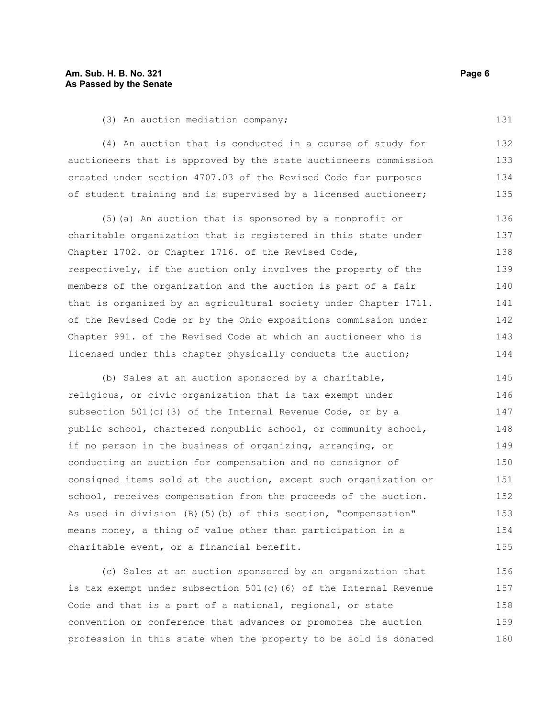(4) An auction that is conducted in a course of study for auctioneers that is approved by the state auctioneers commission created under section 4707.03 of the Revised Code for purposes of student training and is supervised by a licensed auctioneer; 132 133 134 135

(5)(a) An auction that is sponsored by a nonprofit or charitable organization that is registered in this state under Chapter 1702. or Chapter 1716. of the Revised Code, respectively, if the auction only involves the property of the members of the organization and the auction is part of a fair that is organized by an agricultural society under Chapter 1711. of the Revised Code or by the Ohio expositions commission under Chapter 991. of the Revised Code at which an auctioneer who is licensed under this chapter physically conducts the auction; 136 137 138 139 140 141 142 143 144

(b) Sales at an auction sponsored by a charitable, religious, or civic organization that is tax exempt under subsection  $501(c)$  (3) of the Internal Revenue Code, or by a public school, chartered nonpublic school, or community school, if no person in the business of organizing, arranging, or conducting an auction for compensation and no consignor of consigned items sold at the auction, except such organization or school, receives compensation from the proceeds of the auction. As used in division  $(B)$  (5)(b) of this section, "compensation" means money, a thing of value other than participation in a charitable event, or a financial benefit. 145 146 147 148 149 150 151 152 153 154 155

(c) Sales at an auction sponsored by an organization that is tax exempt under subsection 501(c)(6) of the Internal Revenue Code and that is a part of a national, regional, or state convention or conference that advances or promotes the auction profession in this state when the property to be sold is donated 156 157 158 159 160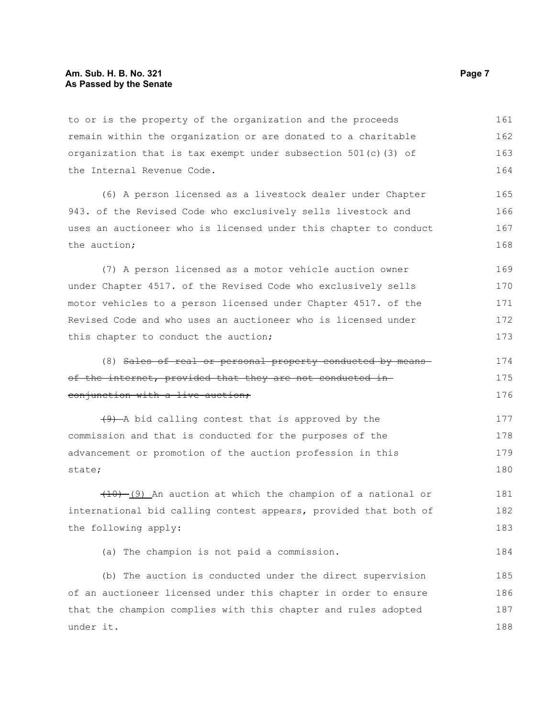to or is the property of the organization and the proceeds remain within the organization or are donated to a charitable organization that is tax exempt under subsection 501(c)(3) of the Internal Revenue Code. 161 162 163 164

(6) A person licensed as a livestock dealer under Chapter 943. of the Revised Code who exclusively sells livestock and uses an auctioneer who is licensed under this chapter to conduct the auction; 165 166 167 168

(7) A person licensed as a motor vehicle auction owner under Chapter 4517. of the Revised Code who exclusively sells motor vehicles to a person licensed under Chapter 4517. of the Revised Code and who uses an auctioneer who is licensed under this chapter to conduct the auction; 169 170 171 172 173

(8) Sales of real or personal property conducted by means of the internet, provided that they are not conducted inconjunction with a live auction; 174 175 176

 $(9)$  -A bid calling contest that is approved by the commission and that is conducted for the purposes of the advancement or promotion of the auction profession in this state; 177 178 179 180

 $(10)$  (9) An auction at which the champion of a national or international bid calling contest appears, provided that both of the following apply: 181 182 183

(a) The champion is not paid a commission.

(b) The auction is conducted under the direct supervision of an auctioneer licensed under this chapter in order to ensure that the champion complies with this chapter and rules adopted under it. 185 186 187 188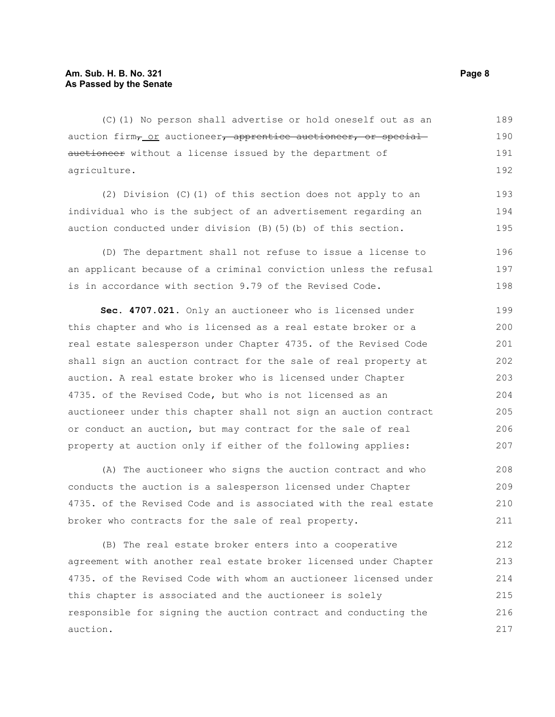(C)(1) No person shall advertise or hold oneself out as an auction firm<sub>7</sub> or auctioneer, apprentice auctioneer, or special auctioneer without a license issued by the department of agriculture. 189 190 191 192

(2) Division (C)(1) of this section does not apply to an individual who is the subject of an advertisement regarding an auction conducted under division (B)(5)(b) of this section. 193 194 195

(D) The department shall not refuse to issue a license to an applicant because of a criminal conviction unless the refusal is in accordance with section 9.79 of the Revised Code. 196 197 198

**Sec. 4707.021.** Only an auctioneer who is licensed under this chapter and who is licensed as a real estate broker or a real estate salesperson under Chapter 4735. of the Revised Code shall sign an auction contract for the sale of real property at auction. A real estate broker who is licensed under Chapter 4735. of the Revised Code, but who is not licensed as an auctioneer under this chapter shall not sign an auction contract or conduct an auction, but may contract for the sale of real property at auction only if either of the following applies: 199 200 201 202 203 204 205 206 207

(A) The auctioneer who signs the auction contract and who conducts the auction is a salesperson licensed under Chapter 4735. of the Revised Code and is associated with the real estate broker who contracts for the sale of real property.

(B) The real estate broker enters into a cooperative agreement with another real estate broker licensed under Chapter 4735. of the Revised Code with whom an auctioneer licensed under this chapter is associated and the auctioneer is solely responsible for signing the auction contract and conducting the auction. 212 213 214 215 216 217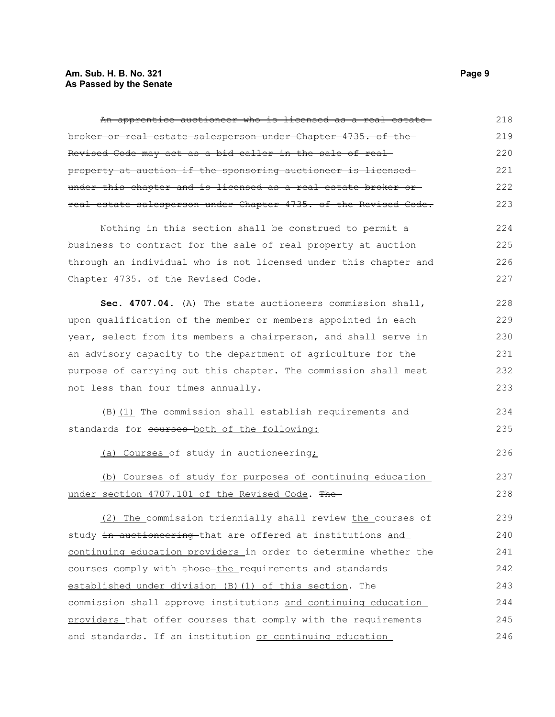## **Am. Sub. H. B. No. 321 Page 9 As Passed by the Senate**

| An apprentice auctioneer who is licensed as a real estate        | 218 |
|------------------------------------------------------------------|-----|
| broker or real estate salesperson under Chapter 4735. of the     | 219 |
| Revised Code may act as a bid caller in the sale of real-        | 220 |
| property at auction if the sponsoring auctioneer is licensed     | 221 |
| under this chapter and is licensed as a real estate broker or-   | 222 |
| real estate salesperson under Chapter 4735. of the Revised Code. | 223 |
| Nothing in this section shall be construed to permit a           | 224 |
| business to contract for the sale of real property at auction    | 225 |
| through an individual who is not licensed under this chapter and | 226 |
| Chapter 4735. of the Revised Code.                               | 227 |
| Sec. 4707.04. (A) The state auctioneers commission shall,        | 228 |
| upon qualification of the member or members appointed in each    | 229 |
| year, select from its members a chairperson, and shall serve in  | 230 |
| an advisory capacity to the department of agriculture for the    | 231 |
| purpose of carrying out this chapter. The commission shall meet  | 232 |
| not less than four times annually.                               | 233 |
| (B) (1) The commission shall establish requirements and          | 234 |
| standards for eourses both of the following:                     | 235 |
| (a) Courses of study in auctioneering;                           | 236 |
| (b) Courses of study for purposes of continuing education        | 237 |
| under section 4707.101 of the Revised Code. The                  | 238 |
| (2) The commission triennially shall review the courses of       | 239 |
| study in auctioneering that are offered at institutions and      | 240 |
| continuing education providers in order to determine whether the | 241 |
| courses comply with those the requirements and standards         | 242 |
| established under division (B) (1) of this section. The          | 243 |
| commission shall approve institutions and continuing education   | 244 |
| providers that offer courses that comply with the requirements   | 245 |
| and standards. If an institution or continuing education         | 246 |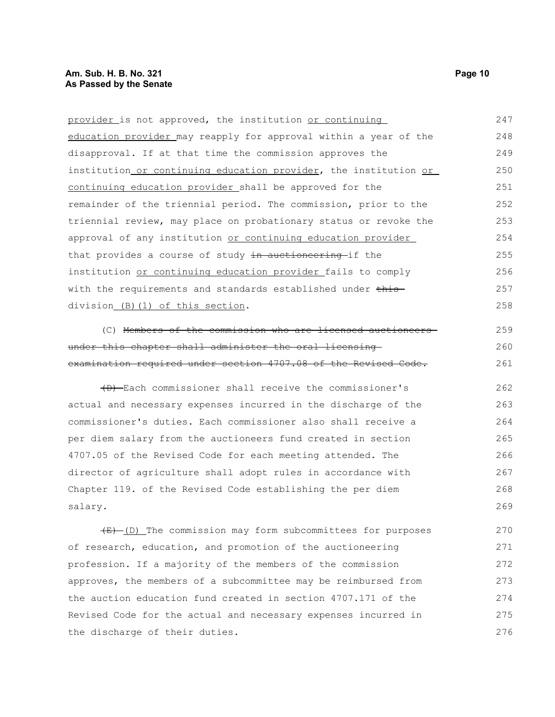provider is not approved, the institution or continuing education provider may reapply for approval within a year of the disapproval. If at that time the commission approves the institution or continuing education provider, the institution or continuing education provider shall be approved for the remainder of the triennial period. The commission, prior to the triennial review, may place on probationary status or revoke the approval of any institution or continuing education provider that provides a course of study in auctioneering if the institution or continuing education provider fails to comply with the requirements and standards established under thisdivision (B)(1) of this section. 247 248 249 250 251 252 253 254 255 256 257 258

(C) Members of the commission who are licensed auctioneers under this chapter shall administer the oral licensing examination required under section 4707.08 of the Revised Code.

(D) Each commissioner shall receive the commissioner's actual and necessary expenses incurred in the discharge of the commissioner's duties. Each commissioner also shall receive a per diem salary from the auctioneers fund created in section 4707.05 of the Revised Code for each meeting attended. The director of agriculture shall adopt rules in accordance with Chapter 119. of the Revised Code establishing the per diem salary. 262 263 264 265 266 267 268 269

 $(E)$  (D) The commission may form subcommittees for purposes of research, education, and promotion of the auctioneering profession. If a majority of the members of the commission approves, the members of a subcommittee may be reimbursed from the auction education fund created in section 4707.171 of the Revised Code for the actual and necessary expenses incurred in the discharge of their duties. 270 271 272 273 274 275 276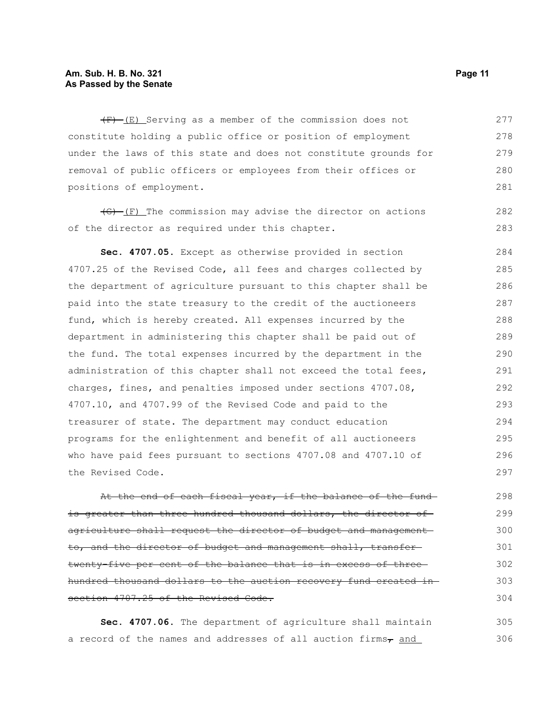#### **Am. Sub. H. B. No. 321 Page 11 As Passed by the Senate**

 $(F)$  (E) Serving as a member of the commission does not constitute holding a public office or position of employment under the laws of this state and does not constitute grounds for removal of public officers or employees from their offices or positions of employment. 277 278 279 280 281

 $\overline{(G)}$  (F) The commission may advise the director on actions of the director as required under this chapter.

**Sec. 4707.05.** Except as otherwise provided in section 4707.25 of the Revised Code, all fees and charges collected by the department of agriculture pursuant to this chapter shall be paid into the state treasury to the credit of the auctioneers fund, which is hereby created. All expenses incurred by the department in administering this chapter shall be paid out of the fund. The total expenses incurred by the department in the administration of this chapter shall not exceed the total fees, charges, fines, and penalties imposed under sections 4707.08, 4707.10, and 4707.99 of the Revised Code and paid to the treasurer of state. The department may conduct education programs for the enlightenment and benefit of all auctioneers who have paid fees pursuant to sections 4707.08 and 4707.10 of the Revised Code. 284 285 286 287 288 289 290 291 292 293 294 295 296 297

At the end of each fiscal year, if the balance of the fund is greater than three hundred thousand dollars, the director of agriculture shall request the director of budget and management to, and the director of budget and management shall, transfer twenty-five per cent of the balance that is in excess of three hundred thousand dollars to the auction recovery fund created in section 4707.25 of the Revised Code. 298 299 300 301 302 303 304

**Sec. 4707.06.** The department of agriculture shall maintain a record of the names and addresses of all auction firms $_{\tau}$  and 305 306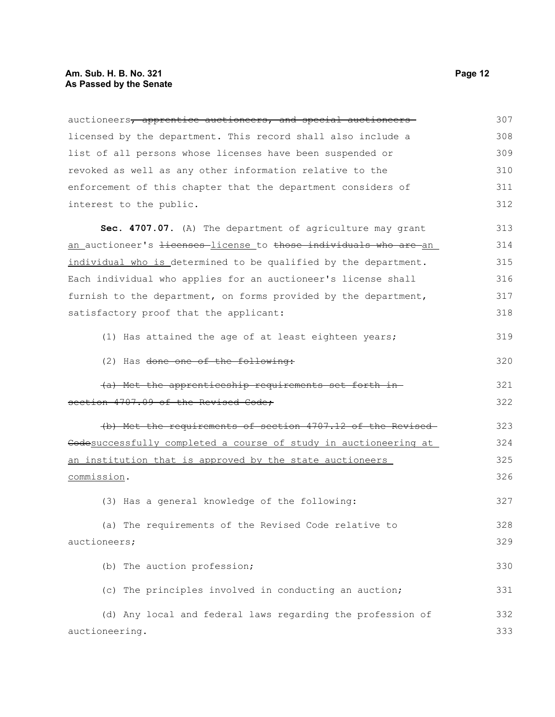## **Am. Sub. H. B. No. 321 Page 12 As Passed by the Senate**

| auctioneers, apprentice auctioneers, and special auctioneers                 | 307 |
|------------------------------------------------------------------------------|-----|
| licensed by the department. This record shall also include a                 | 308 |
| list of all persons whose licenses have been suspended or                    | 309 |
| revoked as well as any other information relative to the                     | 310 |
| enforcement of this chapter that the department considers of                 | 311 |
| interest to the public.                                                      | 312 |
| Sec. 4707.07. (A) The department of agriculture may grant                    | 313 |
| an auctioneer's <del>licenses</del> -license to those individuals who are-an | 314 |
| individual who is determined to be qualified by the department.              | 315 |
| Each individual who applies for an auctioneer's license shall                | 316 |
| furnish to the department, on forms provided by the department,              | 317 |
| satisfactory proof that the applicant:                                       | 318 |
| (1) Has attained the age of at least eighteen years;                         | 319 |
| (2) Has done one of the following:                                           | 320 |
| (a) Met the apprenticeship requirements set forth in-                        | 321 |
| section 4707.09 of the Revised Code;                                         | 322 |
| (b) Met the requirements of section 4707.12 of the Revised                   | 323 |
| Codesuccessfully completed a course of study in auctioneering at             | 324 |
| an institution that is approved by the state auctioneers                     | 325 |
| commission.                                                                  | 326 |
| (3) Has a general knowledge of the following:                                | 327 |
| (a) The requirements of the Revised Code relative to                         | 328 |
| auctioneers;                                                                 | 329 |
| (b) The auction profession;                                                  | 330 |
| (c) The principles involved in conducting an auction;                        | 331 |
| (d) Any local and federal laws regarding the profession of                   | 332 |
| auctioneering.                                                               | 333 |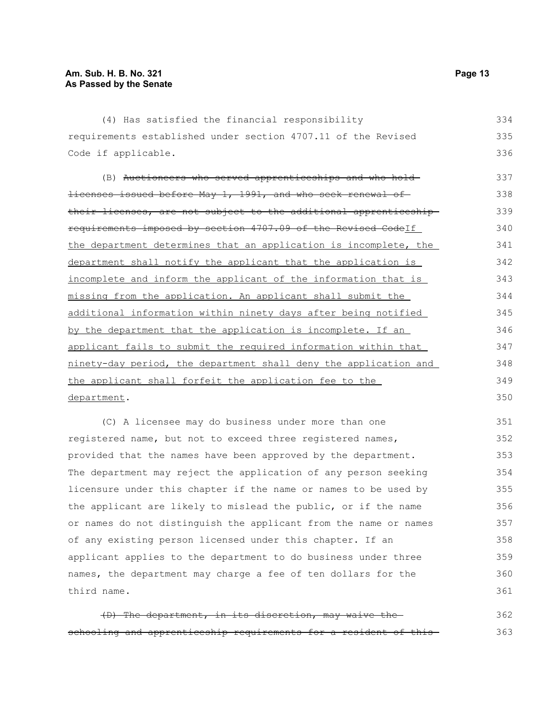third name.

| (4) Has satisfied the financial responsibility                           | 334 |
|--------------------------------------------------------------------------|-----|
| requirements established under section 4707.11 of the Revised            | 335 |
| Code if applicable.                                                      | 336 |
| (B) Auctioneers who served apprenticeships and who hold-                 | 337 |
| <del>licenses issued before May 1, 1991, and who seek renewal of-</del>  | 338 |
| <u>their licenses, are not subject to the additional apprenticeship-</u> | 339 |
| requirements imposed by section 4707.09 of the Revised CodeIf            | 340 |
| the department determines that an application is incomplete, the         | 341 |
| department shall notify the applicant that the application is            | 342 |
| incomplete and inform the applicant of the information that is           | 343 |
| missing from the application. An applicant shall submit the              | 344 |
| additional information within ninety days after being notified           | 345 |
| by the department that the application is incomplete. If an              | 346 |
| applicant fails to submit the required information within that           | 347 |
| ninety-day period, the department shall deny the application and         | 348 |
| the applicant shall forfeit the application fee to the                   | 349 |
| department.                                                              | 350 |
| (C) A licensee may do business under more than one                       | 351 |
| registered name, but not to exceed three registered names,               | 352 |
| provided that the names have been approved by the department.            | 353 |
| The department may reject the application of any person seeking          | 354 |

(D) The department, in its discretion, may waive the schooling and apprenticeship requirements for a resident of this-362 363

licensure under this chapter if the name or names to be used by the applicant are likely to mislead the public, or if the name or names do not distinguish the applicant from the name or names

applicant applies to the department to do business under three names, the department may charge a fee of ten dollars for the

of any existing person licensed under this chapter. If an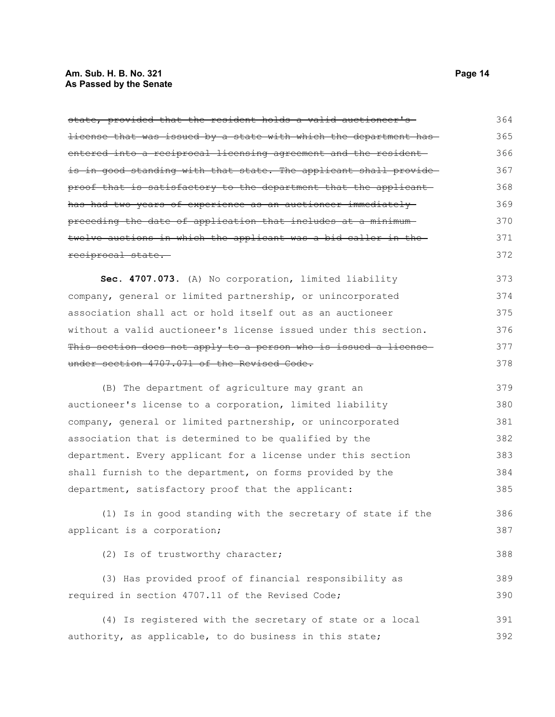## **Am. Sub. H. B. No. 321 Page 14 As Passed by the Senate**

| state, provided that the resident holds a valid auctioneer's     | 364 |
|------------------------------------------------------------------|-----|
| license that was issued by a state with which the department has | 365 |
| entered into a reciprocal licensing agreement and the resident-  | 366 |
| is in good standing with that state. The applicant shall provide | 367 |
| proof that is satisfactory to the department that the applicant  | 368 |
| has had two years of experience as an auctioneer immediately     | 369 |
| preceding the date of application that includes at a minimum-    | 370 |
| twelve auctions in which the applicant was a bid caller in the   | 371 |
| reciprocal state.                                                | 372 |
| Sec. 4707.073. (A) No corporation, limited liability             | 373 |
| company, general or limited partnership, or unincorporated       | 374 |
| association shall act or hold itself out as an auctioneer        | 375 |
| without a valid auctioneer's license issued under this section.  | 376 |
| This section does not apply to a person who is issued a license  | 377 |
| under section 4707.071 of the Revised Code.                      | 378 |
| (B) The department of agriculture may grant an                   | 379 |
| auctioneer's license to a corporation, limited liability         | 380 |
| company, general or limited partnership, or unincorporated       | 381 |
| association that is determined to be qualified by the            | 382 |
| department. Every applicant for a license under this section     | 383 |
| shall furnish to the department, on forms provided by the        | 384 |
| department, satisfactory proof that the applicant:               | 385 |
| (1) Is in good standing with the secretary of state if the       | 386 |
| applicant is a corporation;                                      | 387 |
| (2) Is of trustworthy character;                                 | 388 |
| (3) Has provided proof of financial responsibility as            | 389 |
| required in section 4707.11 of the Revised Code;                 | 390 |
| (4) Is registered with the secretary of state or a local         | 391 |
| authority, as applicable, to do business in this state;          | 392 |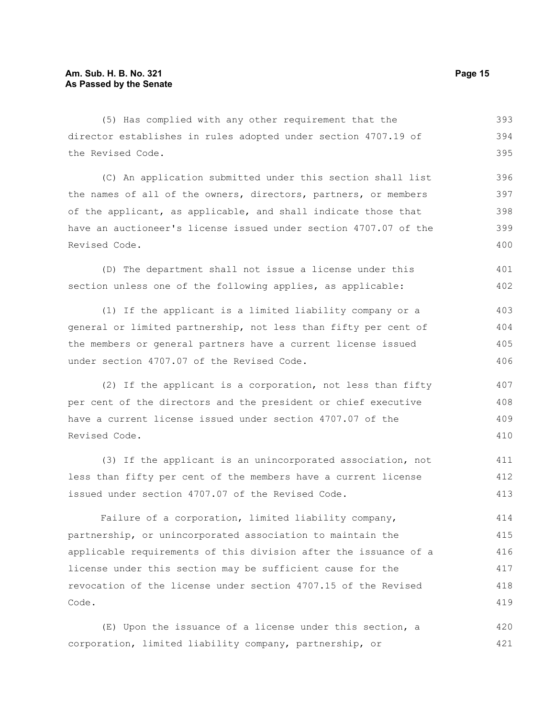| (5) Has complied with any other requirement that the             | 393 |
|------------------------------------------------------------------|-----|
| director establishes in rules adopted under section 4707.19 of   | 394 |
| the Revised Code.                                                | 395 |
| (C) An application submitted under this section shall list       | 396 |
| the names of all of the owners, directors, partners, or members  | 397 |
| of the applicant, as applicable, and shall indicate those that   | 398 |
| have an auctioneer's license issued under section 4707.07 of the | 399 |
| Revised Code.                                                    | 400 |
| (D) The department shall not issue a license under this          | 401 |
| section unless one of the following applies, as applicable:      | 402 |
| (1) If the applicant is a limited liability company or a         | 403 |
| general or limited partnership, not less than fifty per cent of  | 404 |
| the members or general partners have a current license issued    | 405 |
| under section 4707.07 of the Revised Code.                       | 406 |
| (2) If the applicant is a corporation, not less than fifty       | 407 |
| per cent of the directors and the president or chief executive   | 408 |
| have a current license issued under section 4707.07 of the       | 409 |
| Revised Code.                                                    | 410 |
| (3) If the applicant is an unincorporated association, not       | 411 |

(3) If the applicant is an unincorporated association, not less than fifty per cent of the members have a current license issued under section 4707.07 of the Revised Code. 412 413

Failure of a corporation, limited liability company, partnership, or unincorporated association to maintain the applicable requirements of this division after the issuance of a license under this section may be sufficient cause for the revocation of the license under section 4707.15 of the Revised Code. 414 415 416 417 418 419

(E) Upon the issuance of a license under this section, a corporation, limited liability company, partnership, or 420 421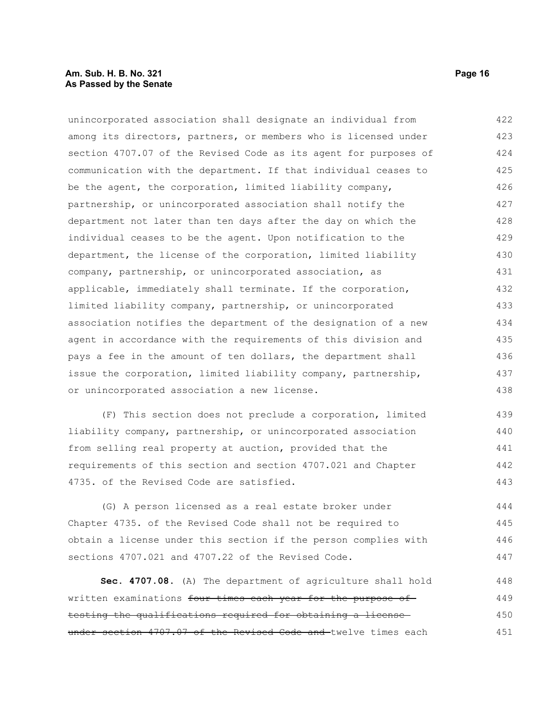#### **Am. Sub. H. B. No. 321 Page 16 As Passed by the Senate**

unincorporated association shall designate an individual from among its directors, partners, or members who is licensed under section 4707.07 of the Revised Code as its agent for purposes of communication with the department. If that individual ceases to be the agent, the corporation, limited liability company, partnership, or unincorporated association shall notify the department not later than ten days after the day on which the individual ceases to be the agent. Upon notification to the department, the license of the corporation, limited liability company, partnership, or unincorporated association, as applicable, immediately shall terminate. If the corporation, limited liability company, partnership, or unincorporated association notifies the department of the designation of a new agent in accordance with the requirements of this division and pays a fee in the amount of ten dollars, the department shall issue the corporation, limited liability company, partnership, or unincorporated association a new license. 422 423 424 425 426 427 428 429 430 431 432 433 434 435 436 437 438

(F) This section does not preclude a corporation, limited liability company, partnership, or unincorporated association from selling real property at auction, provided that the requirements of this section and section 4707.021 and Chapter 4735. of the Revised Code are satisfied. 439 440 441 442 443

(G) A person licensed as a real estate broker under Chapter 4735. of the Revised Code shall not be required to obtain a license under this section if the person complies with sections 4707.021 and 4707.22 of the Revised Code. 444 445 446 447

**Sec. 4707.08.** (A) The department of agriculture shall hold written examinations four times each year for the purpose of testing the qualifications required for obtaining a license under section 4707.07 of the Revised Code and twelve times each 448 449 450 451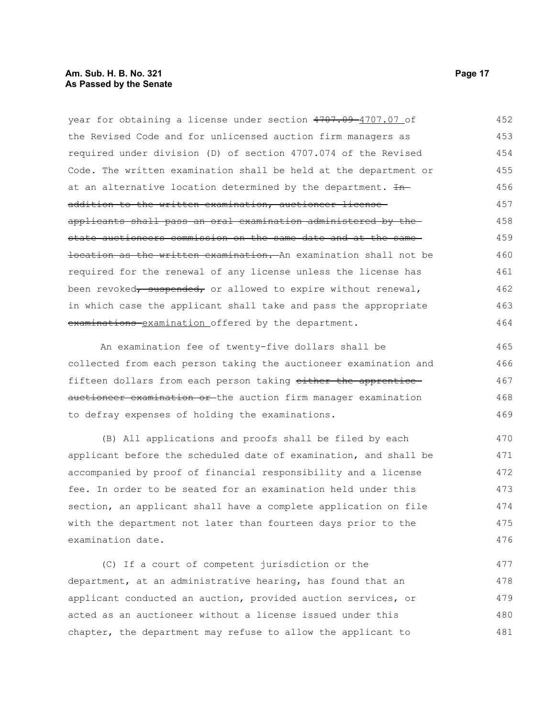#### **Am. Sub. H. B. No. 321 Page 17 As Passed by the Senate**

year for obtaining a license under section 4707.09-4707.07 of the Revised Code and for unlicensed auction firm managers as required under division (D) of section 4707.074 of the Revised Code. The written examination shall be held at the department or at an alternative location determined by the department. In addition to the written examination, auctioneer licenseapplicants shall pass an oral examination administered by the state auctioneers commission on the same date and at the same location as the written examination. An examination shall not be required for the renewal of any license unless the license has been revoked, suspended, or allowed to expire without renewal, in which case the applicant shall take and pass the appropriate examinations examination offered by the department. 452 453 454 455 456 457 458 459 460 461 462 463 464

An examination fee of twenty-five dollars shall be collected from each person taking the auctioneer examination and fifteen dollars from each person taking either the apprentice auctioneer examination or the auction firm manager examination to defray expenses of holding the examinations. 465 466 467 468 469

(B) All applications and proofs shall be filed by each applicant before the scheduled date of examination, and shall be accompanied by proof of financial responsibility and a license fee. In order to be seated for an examination held under this section, an applicant shall have a complete application on file with the department not later than fourteen days prior to the examination date. 470 471 472 473 474 475 476

(C) If a court of competent jurisdiction or the department, at an administrative hearing, has found that an applicant conducted an auction, provided auction services, or acted as an auctioneer without a license issued under this chapter, the department may refuse to allow the applicant to 477 478 479 480 481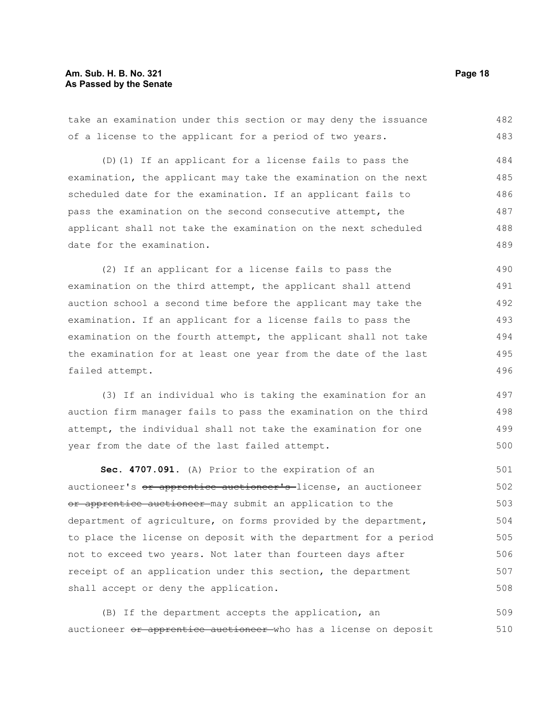#### **Am. Sub. H. B. No. 321 Page 18 As Passed by the Senate**

take an examination under this section or may deny the issuance of a license to the applicant for a period of two years. (D)(1) If an applicant for a license fails to pass the examination, the applicant may take the examination on the next scheduled date for the examination. If an applicant fails to pass the examination on the second consecutive attempt, the applicant shall not take the examination on the next scheduled date for the examination. (2) If an applicant for a license fails to pass the examination on the third attempt, the applicant shall attend auction school a second time before the applicant may take the examination. If an applicant for a license fails to pass the examination on the fourth attempt, the applicant shall not take the examination for at least one year from the date of the last failed attempt. (3) If an individual who is taking the examination for an auction firm manager fails to pass the examination on the third attempt, the individual shall not take the examination for one year from the date of the last failed attempt. **Sec. 4707.091.** (A) Prior to the expiration of an auctioneer's or apprentice auctioneer's license, an auctioneer or apprentice auctioneer may submit an application to the department of agriculture, on forms provided by the department, to place the license on deposit with the department for a period not to exceed two years. Not later than fourteen days after 482 483 484 485 486 487 488 489 490 491 492 493 494 495 496 497 498 499 500 501 502 503 504 505 506

(B) If the department accepts the application, an auctioneer or apprentice auctioneer who has a license on deposit 509 510

receipt of an application under this section, the department

shall accept or deny the application.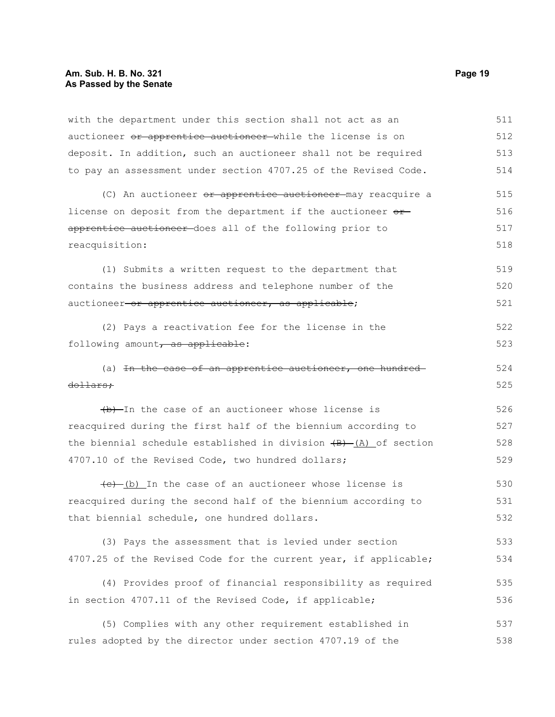## **Am. Sub. H. B. No. 321 Page 19 As Passed by the Senate**

| with the department under this section shall not act as an           | 511 |
|----------------------------------------------------------------------|-----|
| auctioneer or apprentice auctioneer while the license is on          | 512 |
| deposit. In addition, such an auctioneer shall not be required       | 513 |
| to pay an assessment under section 4707.25 of the Revised Code.      | 514 |
| (C) An auctioneer or apprentice auctioneer may reacquire a           | 515 |
| license on deposit from the department if the auctioneer or          | 516 |
| apprentice auctioneer-does all of the following prior to             | 517 |
| reacquisition:                                                       | 518 |
| (1) Submits a written request to the department that                 | 519 |
| contains the business address and telephone number of the            | 520 |
| auctioneer-or apprentice auctioneer, as applicable;                  | 521 |
| (2) Pays a reactivation fee for the license in the                   | 522 |
| following amount, as applicable:                                     | 523 |
| (a) In the case of an apprentice auctioneer, one hundred-            | 524 |
| <del>dollars;</del>                                                  | 525 |
| (b) In the case of an auctioneer whose license is                    | 526 |
| reacquired during the first half of the biennium according to        | 527 |
| the biennial schedule established in division $(B) - (A)$ of section | 528 |
| 4707.10 of the Revised Code, two hundred dollars;                    | 529 |
| $(e)$ (b) In the case of an auctioneer whose license is              | 530 |
| reacquired during the second half of the biennium according to       | 531 |
| that biennial schedule, one hundred dollars.                         | 532 |
| (3) Pays the assessment that is levied under section                 | 533 |
| 4707.25 of the Revised Code for the current year, if applicable;     | 534 |
| (4) Provides proof of financial responsibility as required           | 535 |
| in section 4707.11 of the Revised Code, if applicable;               | 536 |
| (5) Complies with any other requirement established in               | 537 |
| rules adopted by the director under section 4707.19 of the           | 538 |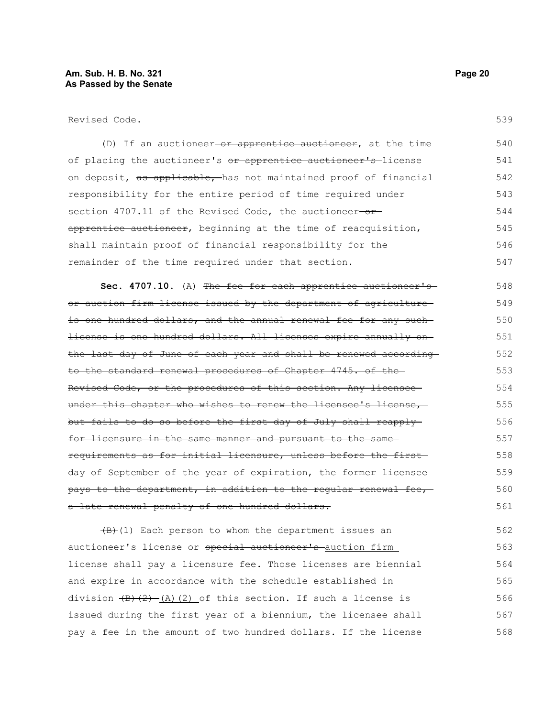Revised Code.

(D) If an auctioneer-or apprentice auctioneer, at the time of placing the auctioneer's or apprentice auctioneer's license on deposit, as applicable, has not maintained proof of financial responsibility for the entire period of time required under section 4707.11 of the Revised Code, the auctioneer-orapprentice auctioneer, beginning at the time of reacquisition, shall maintain proof of financial responsibility for the remainder of the time required under that section. 540 541 542 543 544 545 546 547

**Sec. 4707.10.** (A) The fee for each apprentice auctioneer's or auction firm license issued by the department of agriculture is one hundred dollars, and the annual renewal fee for any suchlicense is one hundred dollars. All licenses expire annually on the last day of June of each year and shall be renewed according to the standard renewal procedures of Chapter 4745. of the Revised Code, or the procedures of this section. Any licensee under this chapter who wishes to renew the licensee's license, but fails to do so before the first day of July shall reapply for licensure in the same manner and pursuant to the same requirements as for initial licensure, unless before the first day of September of the year of expiration, the former licenseepays to the department, in addition to the regular renewal fee, a late renewal penalty of one hundred dollars. 548 549 550 551 552 553 554 555 556 557 558 559 560 561

 $(B)$ (1) Each person to whom the department issues an auctioneer's license or special auctioneer's auction firm license shall pay a licensure fee. Those licenses are biennial and expire in accordance with the schedule established in division  $(B)$   $(2)$   $(A)$   $(2)$  of this section. If such a license is issued during the first year of a biennium, the licensee shall pay a fee in the amount of two hundred dollars. If the license 562 563 564 565 566 567 568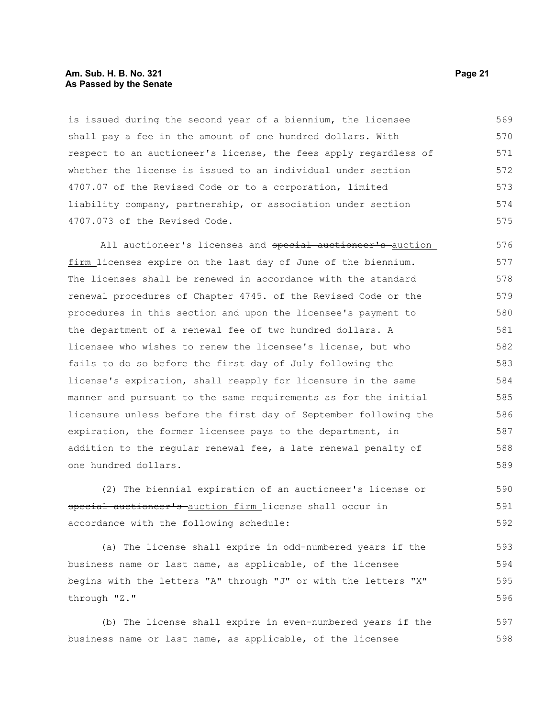#### **Am. Sub. H. B. No. 321 Page 21 As Passed by the Senate**

is issued during the second year of a biennium, the licensee shall pay a fee in the amount of one hundred dollars. With respect to an auctioneer's license, the fees apply regardless of whether the license is issued to an individual under section 4707.07 of the Revised Code or to a corporation, limited liability company, partnership, or association under section 4707.073 of the Revised Code. 569 570 571 572 573 574 575

All auctioneer's licenses and special auctioneer's auction firm licenses expire on the last day of June of the biennium. The licenses shall be renewed in accordance with the standard renewal procedures of Chapter 4745. of the Revised Code or the procedures in this section and upon the licensee's payment to the department of a renewal fee of two hundred dollars. A licensee who wishes to renew the licensee's license, but who fails to do so before the first day of July following the license's expiration, shall reapply for licensure in the same manner and pursuant to the same requirements as for the initial licensure unless before the first day of September following the expiration, the former licensee pays to the department, in addition to the regular renewal fee, a late renewal penalty of one hundred dollars. 576 577 578 579 580 581 582 583 584 585 586 587 588 589

(2) The biennial expiration of an auctioneer's license or special auctioneer's auction firm license shall occur in accordance with the following schedule: 590 591 592

(a) The license shall expire in odd-numbered years if the business name or last name, as applicable, of the licensee begins with the letters "A" through "J" or with the letters "X" through "Z." 593 594 595 596

(b) The license shall expire in even-numbered years if the business name or last name, as applicable, of the licensee 597 598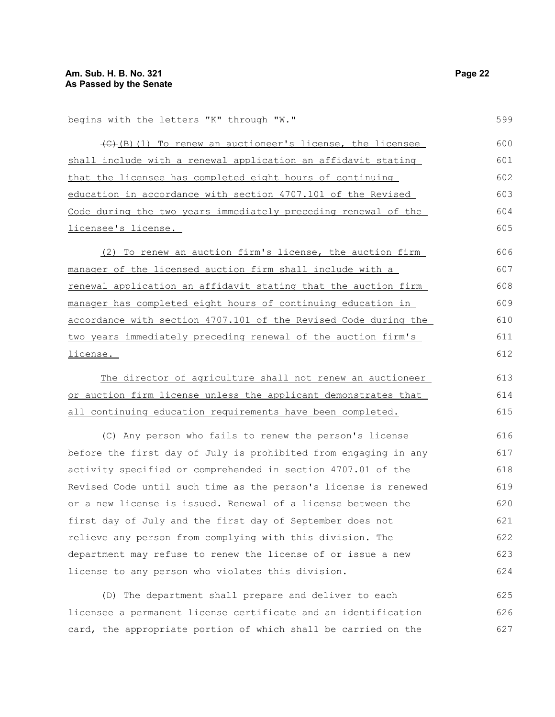begins with the letters "K" through "W."

(C)(B)(1) To renew an auctioneer's license, the licensee shall include with a renewal application an affidavit stating that the licensee has completed eight hours of continuing education in accordance with section 4707.101 of the Revised Code during the two years immediately preceding renewal of the licensee's license. 600 601 602 603

(2) To renew an auction firm's license, the auction firm manager of the licensed auction firm shall include with a renewal application an affidavit stating that the auction firm manager has completed eight hours of continuing education in accordance with section 4707.101 of the Revised Code during the two years immediately preceding renewal of the auction firm's license. 609 610 611 612

The director of agriculture shall not renew an auctioneer or auction firm license unless the applicant demonstrates that all continuing education requirements have been completed. 613 614 615

(C) Any person who fails to renew the person's license before the first day of July is prohibited from engaging in any activity specified or comprehended in section 4707.01 of the Revised Code until such time as the person's license is renewed or a new license is issued. Renewal of a license between the first day of July and the first day of September does not relieve any person from complying with this division. The department may refuse to renew the license of or issue a new license to any person who violates this division. 616 617 618 619 620 621 622 623 624

(D) The department shall prepare and deliver to each licensee a permanent license certificate and an identification card, the appropriate portion of which shall be carried on the 625 626 627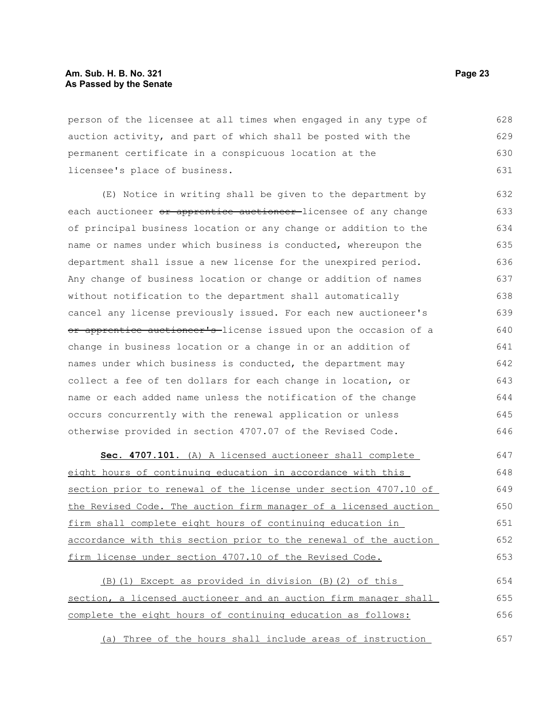#### **Am. Sub. H. B. No. 321 Page 23 As Passed by the Senate**

person of the licensee at all times when engaged in any type of auction activity, and part of which shall be posted with the permanent certificate in a conspicuous location at the licensee's place of business. 628 629 630 631

(E) Notice in writing shall be given to the department by each auctioneer or apprentice auctioneer-licensee of any change of principal business location or any change or addition to the name or names under which business is conducted, whereupon the department shall issue a new license for the unexpired period. Any change of business location or change or addition of names without notification to the department shall automatically cancel any license previously issued. For each new auctioneer's or apprentice auctioneer's-license issued upon the occasion of a change in business location or a change in or an addition of names under which business is conducted, the department may collect a fee of ten dollars for each change in location, or name or each added name unless the notification of the change occurs concurrently with the renewal application or unless otherwise provided in section 4707.07 of the Revised Code. 632 633 634 635 636 637 638 639 640 641 642 643 644 645 646

 **Sec. 4707.101.** (A) A licensed auctioneer shall complete eight hours of continuing education in accordance with this section prior to renewal of the license under section 4707.10 of the Revised Code. The auction firm manager of a licensed auction firm shall complete eight hours of continuing education in accordance with this section prior to the renewal of the auction firm license under section 4707.10 of the Revised Code. 647 648 649 650 651 652 653

(B)(1) Except as provided in division (B)(2) of this section, a licensed auctioneer and an auction firm manager shall complete the eight hours of continuing education as follows: 654 655 656

(a) Three of the hours shall include areas of instruction 657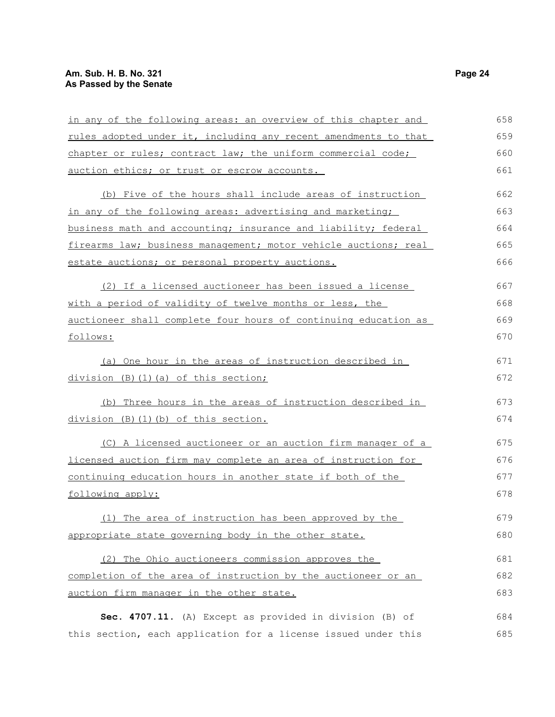## **Am. Sub. H. B. No. 321 Page 24 As Passed by the Senate**

| in any of the following areas: an overview of this chapter and  | 658 |
|-----------------------------------------------------------------|-----|
| rules adopted under it, including any recent amendments to that | 659 |
| chapter or rules; contract law; the uniform commercial code;    | 660 |
| auction ethics; or trust or escrow accounts.                    | 661 |
| (b) Five of the hours shall include areas of instruction        | 662 |
| in any of the following areas: advertising and marketing;       | 663 |
| business math and accounting; insurance and liability; federal  | 664 |
| firearms law; business management; motor vehicle auctions; real | 665 |
| estate auctions; or personal property auctions.                 | 666 |
| (2) If a licensed auctioneer has been issued a license          | 667 |
| with a period of validity of twelve months or less, the         | 668 |
| auctioneer shall complete four hours of continuing education as | 669 |
| follows:                                                        | 670 |
| (a) One hour in the areas of instruction described in           | 671 |
| division (B) (1) (a) of this section;                           | 672 |
| (b) Three hours in the areas of instruction described in        | 673 |
| division (B)(1)(b) of this section.                             | 674 |
| (C) A licensed auctioneer or an auction firm manager of a       | 675 |
| licensed auction firm may complete an area of instruction for   | 676 |
| continuing education hours in another state if both of the      | 677 |
| following apply:                                                | 678 |
| (1) The area of instruction has been approved by the            | 679 |
| appropriate state governing body in the other state.            | 680 |
| (2) The Ohio auctioneers commission approves the                | 681 |
| completion of the area of instruction by the auctioneer or an   | 682 |
| auction firm manager in the other state.                        | 683 |
| Sec. 4707.11. (A) Except as provided in division (B) of         | 684 |
| this section, each application for a license issued under this  | 685 |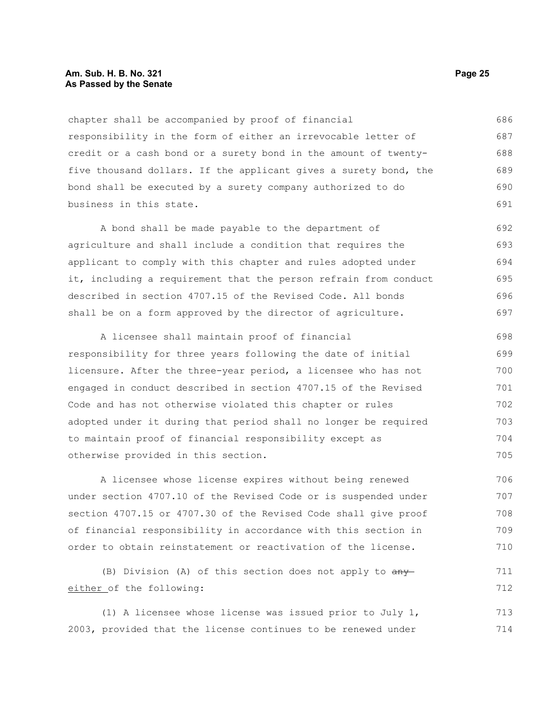#### **Am. Sub. H. B. No. 321 Page 25 As Passed by the Senate**

chapter shall be accompanied by proof of financial responsibility in the form of either an irrevocable letter of credit or a cash bond or a surety bond in the amount of twentyfive thousand dollars. If the applicant gives a surety bond, the bond shall be executed by a surety company authorized to do business in this state. 686 687 688 689 690 691

A bond shall be made payable to the department of agriculture and shall include a condition that requires the applicant to comply with this chapter and rules adopted under it, including a requirement that the person refrain from conduct described in section 4707.15 of the Revised Code. All bonds shall be on a form approved by the director of agriculture. 692 693 694 695 696 697

A licensee shall maintain proof of financial responsibility for three years following the date of initial licensure. After the three-year period, a licensee who has not engaged in conduct described in section 4707.15 of the Revised Code and has not otherwise violated this chapter or rules adopted under it during that period shall no longer be required to maintain proof of financial responsibility except as otherwise provided in this section. 698 699 700 701 702 703 704 705

A licensee whose license expires without being renewed under section 4707.10 of the Revised Code or is suspended under section 4707.15 or 4707.30 of the Revised Code shall give proof of financial responsibility in accordance with this section in order to obtain reinstatement or reactivation of the license. 706 707 708 709 710

(B) Division (A) of this section does not apply to  $\frac{any}{ }$ either of the following: 711 712

(1) A licensee whose license was issued prior to July 1, 2003, provided that the license continues to be renewed under 713 714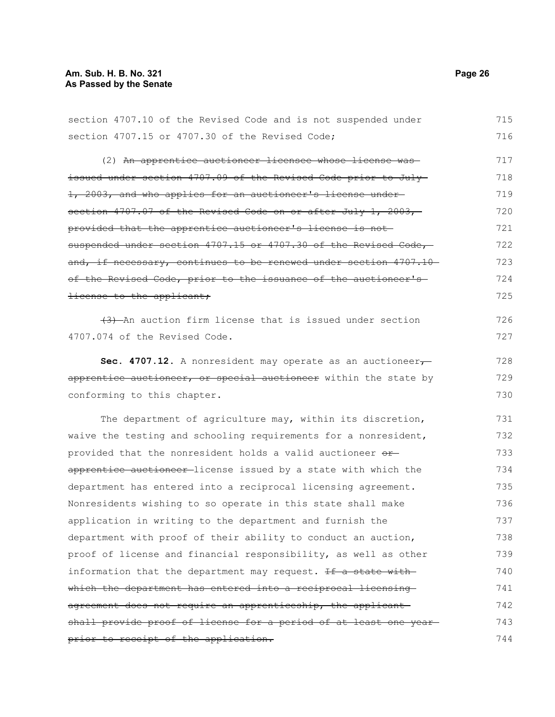prior to receipt of the application.

section 4707.10 of the Revised Code and is not suspended under section 4707.15 or 4707.30 of the Revised Code; (2) An apprentice auctioneer licensee whose license was issued under section 4707.09 of the Revised Code prior to July 1, 2003, and who applies for an auctioneer's license under section 4707.07 of the Revised Code on or after July 1, 2003, provided that the apprentice auctioneer's license is not suspended under section 4707.15 or 4707.30 of the Revised Code, and, if necessary, continues to be renewed under section 4707.10 of the Revised Code, prior to the issuance of the auctioneer'slicense to the applicant; (3) An auction firm license that is issued under section 4707.074 of the Revised Code. **Sec. 4707.12.** A nonresident may operate as an auctioneer $\tau$ apprentice auctioneer, or special auctioneer within the state by conforming to this chapter. The department of agriculture may, within its discretion, waive the testing and schooling requirements for a nonresident, provided that the nonresident holds a valid auctioneer orapprentice auctioneer-license issued by a state with which the department has entered into a reciprocal licensing agreement. Nonresidents wishing to so operate in this state shall make application in writing to the department and furnish the department with proof of their ability to conduct an auction, proof of license and financial responsibility, as well as other information that the department may request. If a state with which the department has entered into a reciprocal licensing agreement does not require an apprenticeship, the applicant shall provide proof of license for a period of at least one year 716 717 718 719 720 721 722 723 724 725 726 727 728 729 730 731 732 733 734 735 736 737 738 739 740 741 742 743

715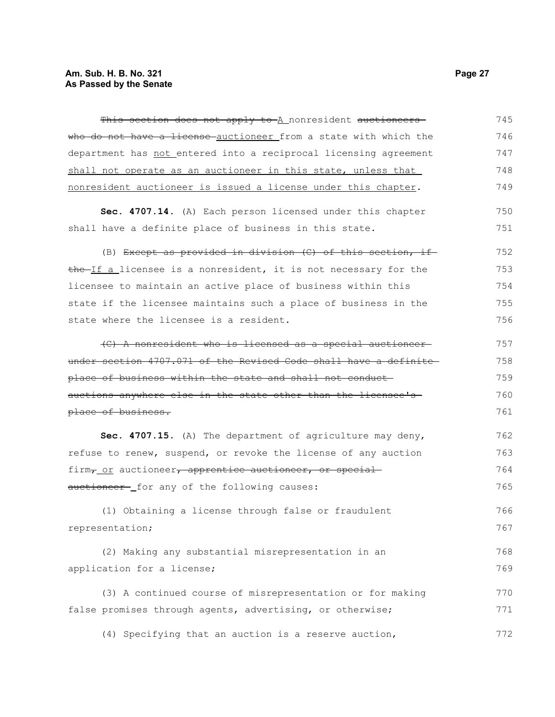| This section does not apply to A nonresident auctioneers                       | 745 |
|--------------------------------------------------------------------------------|-----|
| who do not have a license auctioneer from a state with which the               | 746 |
| department has not entered into a reciprocal licensing agreement               | 747 |
| shall not operate as an auctioneer in this state, unless that                  | 748 |
| nonresident auctioneer is issued a license under this chapter.                 | 749 |
| Sec. 4707.14. (A) Each person licensed under this chapter                      | 750 |
| shall have a definite place of business in this state.                         | 751 |
| (B) Except as provided in division $(C)$ of this section, if                   | 752 |
| the If a licensee is a nonresident, it is not necessary for the                | 753 |
| licensee to maintain an active place of business within this                   | 754 |
| state if the licensee maintains such a place of business in the                | 755 |
| state where the licensee is a resident.                                        | 756 |
| (C) A nonresident who is licensed as a special auctioneer                      | 757 |
| under section 4707.071 of the Revised Code shall have a definite               | 758 |
| place of business within the state and shall not conduct-                      | 759 |
| auctions anywhere else in the state other than the licensee's                  | 760 |
| place of business.                                                             | 761 |
| Sec. 4707.15. (A) The department of agriculture may deny,                      | 762 |
| refuse to renew, suspend, or revoke the license of any auction                 | 763 |
| firm <sub>7</sub> or auctioneer <del>, apprentice auctioneer, or special</del> | 764 |
| auctioneer- for any of the following causes:                                   | 765 |
| (1) Obtaining a license through false or fraudulent                            | 766 |
| representation;                                                                | 767 |
| (2) Making any substantial misrepresentation in an                             | 768 |
| application for a license;                                                     | 769 |
| (3) A continued course of misrepresentation or for making                      | 770 |
| false promises through agents, advertising, or otherwise;                      | 771 |
| (4) Specifying that an auction is a reserve auction,                           | 772 |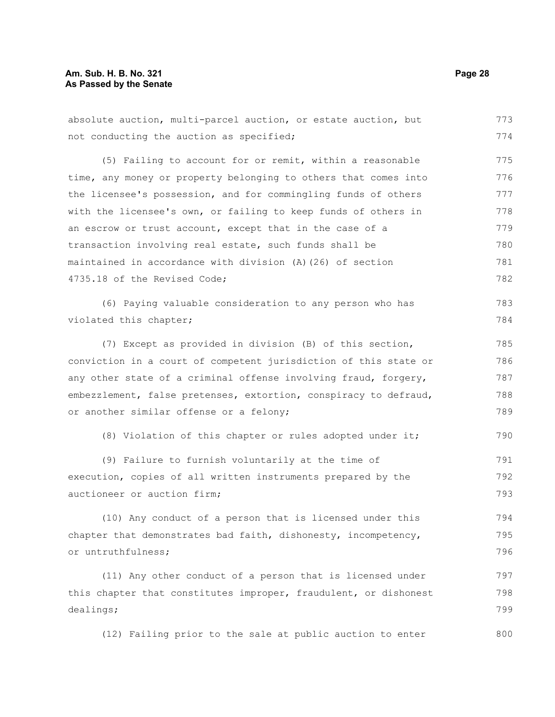#### **Am. Sub. H. B. No. 321 Page 28 As Passed by the Senate**

absolute auction, multi-parcel auction, or estate auction, but not conducting the auction as specified; (5) Failing to account for or remit, within a reasonable time, any money or property belonging to others that comes into the licensee's possession, and for commingling funds of others with the licensee's own, or failing to keep funds of others in an escrow or trust account, except that in the case of a transaction involving real estate, such funds shall be maintained in accordance with division (A)(26) of section 4735.18 of the Revised Code; (6) Paying valuable consideration to any person who has violated this chapter; (7) Except as provided in division (B) of this section, conviction in a court of competent jurisdiction of this state or any other state of a criminal offense involving fraud, forgery, embezzlement, false pretenses, extortion, conspiracy to defraud, or another similar offense or a felony; (8) Violation of this chapter or rules adopted under it; (9) Failure to furnish voluntarily at the time of execution, copies of all written instruments prepared by the auctioneer or auction firm; (10) Any conduct of a person that is licensed under this chapter that demonstrates bad faith, dishonesty, incompetency, or untruthfulness; (11) Any other conduct of a person that is licensed under this chapter that constitutes improper, fraudulent, or dishonest dealings; (12) Failing prior to the sale at public auction to enter 773 774 775 776 777 778 779 780 781 782 783 784 785 786 787 788 789 790 791 792 793 794 795 796 797 798 799 800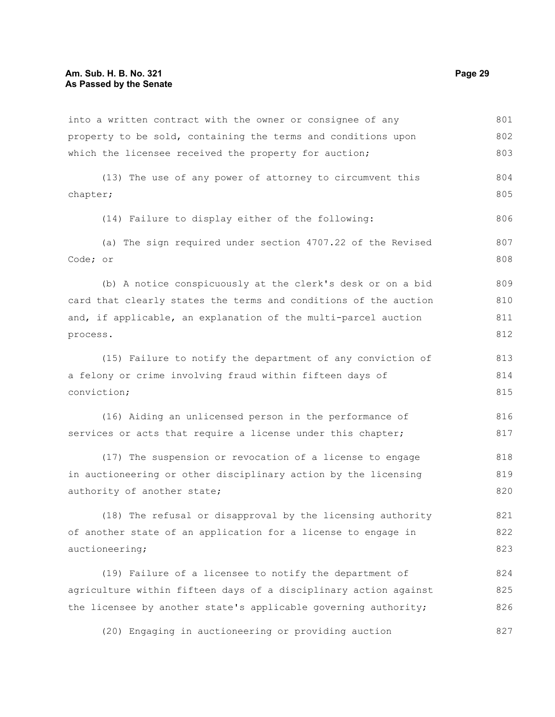into a written contract with the owner or consignee of any property to be sold, containing the terms and conditions upon which the licensee received the property for auction; 801 802 803

(13) The use of any power of attorney to circumvent this chapter; 804 805

(14) Failure to display either of the following:

(a) The sign required under section 4707.22 of the Revised Code; or 807 808

(b) A notice conspicuously at the clerk's desk or on a bid card that clearly states the terms and conditions of the auction and, if applicable, an explanation of the multi-parcel auction process. 809 810 811 812

(15) Failure to notify the department of any conviction of a felony or crime involving fraud within fifteen days of conviction; 813 814 815

(16) Aiding an unlicensed person in the performance of services or acts that require a license under this chapter; 816 817

(17) The suspension or revocation of a license to engage in auctioneering or other disciplinary action by the licensing authority of another state; 818 819 820

(18) The refusal or disapproval by the licensing authority of another state of an application for a license to engage in auctioneering; 821 822 823

(19) Failure of a licensee to notify the department of agriculture within fifteen days of a disciplinary action against the licensee by another state's applicable governing authority; 824 825 826

(20) Engaging in auctioneering or providing auction

806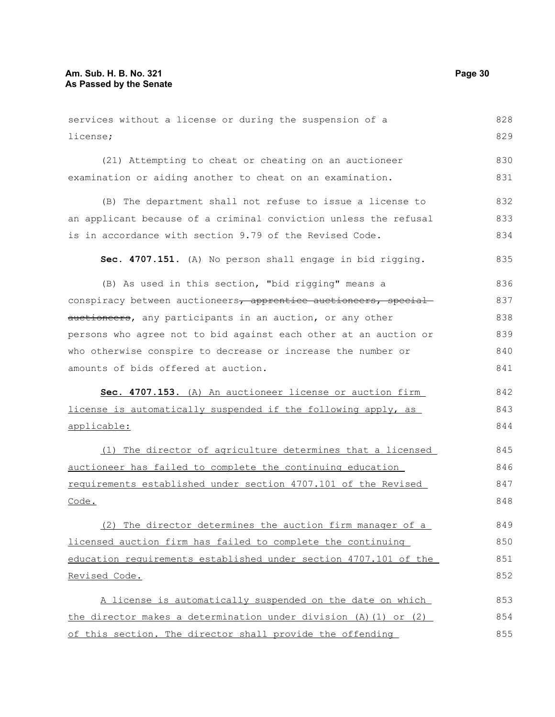```
services without a license or during the suspension of a
license;
      (21) Attempting to cheat or cheating on an auctioneer
examination or aiding another to cheat on an examination.
      (B) The department shall not refuse to issue a license to
an applicant because of a criminal conviction unless the refusal
is in accordance with section 9.79 of the Revised Code.
     Sec. 4707.151. (A) No person shall engage in bid rigging.
      (B) As used in this section, "bid rigging" means a
conspiracy between auctioneers, apprentice auctioneers, special
auctioneers, any participants in an auction, or any other
persons who agree not to bid against each other at an auction or
who otherwise conspire to decrease or increase the number or
amounts of bids offered at auction.
      Sec. 4707.153. (A) An auctioneer license or auction firm
license is automatically suspended if the following apply, as
applicable:
     (1) The director of agriculture determines that a licensed
auctioneer has failed to complete the continuing education
requirements established under section 4707.101 of the Revised
Code.
     (2) The director determines the auction firm manager of a
licensed auction firm has failed to complete the continuing
education requirements established under section 4707.101 of the
Revised Code.
     A license is automatically suspended on the date on which
the director makes a determination under division (A)(1) or (2)
of this section. The director shall provide the offending
                                                                           828
                                                                           829
                                                                           830
                                                                           831
                                                                           832
                                                                           833
                                                                           834
                                                                           835
                                                                           836
                                                                           837
                                                                           838
                                                                           839
                                                                           840
                                                                           841
                                                                           842
                                                                           843
                                                                           844
                                                                           845
                                                                           846
                                                                           847
                                                                           848
                                                                           849
                                                                           850
                                                                           851
                                                                           852
                                                                           853
                                                                           854
                                                                           855
```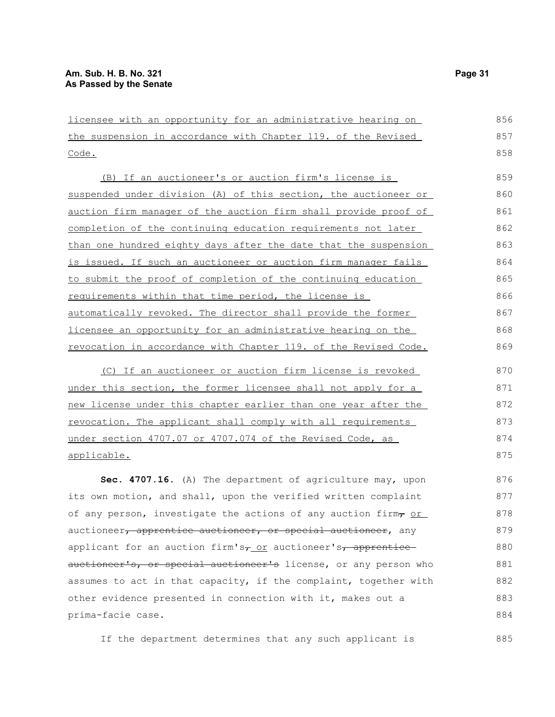| licensee with an opportunity for an administrative hearing on   |
|-----------------------------------------------------------------|
| the suspension in accordance with Chapter 119. of the Revised   |
| Code.                                                           |
| (B) If an auctioneer's or auction firm's license is             |
| suspended under division (A) of this section, the auctioneer or |
| auction firm manager of the auction firm shall provide proof of |
| completion of the continuing education requirements not later   |
| than ano bundrod oighty days after the data that the suspension |

| than one hundred eighty days after the date that the suspension | 863 |
|-----------------------------------------------------------------|-----|
| is issued. If such an auctioneer or auction firm manager fails  | 864 |
| to submit the proof of completion of the continuing education   | 865 |
| requirements within that time period, the license is            | 866 |
| automatically revoked. The director shall provide the former    | 867 |
| licensee an opportunity for an administrative hearing on the    | 868 |
| revocation in accordance with Chapter 119. of the Revised Code. | 869 |

(C) If an auctioneer or auction firm license is revoked under this section, the former licensee shall not apply for a new license under this chapter earlier than one year after the revocation. The applicant shall comply with all requirements under section 4707.07 or 4707.074 of the Revised Code, as applicable.

**Sec. 4707.16.** (A) The department of agriculture may, upon its own motion, and shall, upon the verified written complaint of any person, investigate the actions of any auction firm, or auctioneer, apprentice auctioneer, or special auctioneer, any applicant for an auction firm's $\tau$  or auctioneer's, apprentice auctioneer's, or special auctioneer's license, or any person who assumes to act in that capacity, if the complaint, together with other evidence presented in connection with it, makes out a prima-facie case. 876 877 878 879 880 881 882 883 884

If the department determines that any such applicant is

856 857 858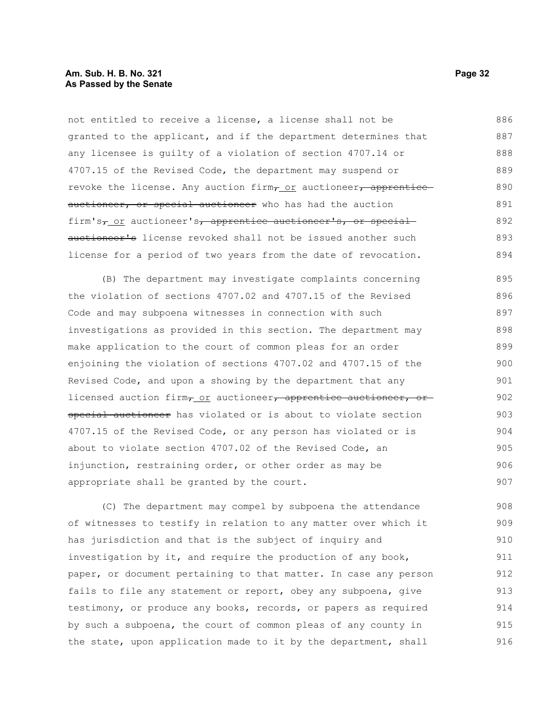not entitled to receive a license, a license shall not be granted to the applicant, and if the department determines that any licensee is guilty of a violation of section 4707.14 or 4707.15 of the Revised Code, the department may suspend or revoke the license. Any auction firm $_{T\_OT}$  auctioneer, apprentice auctioneer, or special auctioneer who has had the auction firm's $_{7-}$  or auctioneer's, apprentice auctioneer's, or special auctioneer's license revoked shall not be issued another such license for a period of two years from the date of revocation. 886 887 888 889 890 891 892 893 894

(B) The department may investigate complaints concerning the violation of sections 4707.02 and 4707.15 of the Revised Code and may subpoena witnesses in connection with such investigations as provided in this section. The department may make application to the court of common pleas for an order enjoining the violation of sections 4707.02 and 4707.15 of the Revised Code, and upon a showing by the department that any licensed auction firm<sub>7</sub> or auctioneer, apprentice auctioneer, or special auctioneer has violated or is about to violate section 4707.15 of the Revised Code, or any person has violated or is about to violate section 4707.02 of the Revised Code, an injunction, restraining order, or other order as may be appropriate shall be granted by the court. 895 896 897 898 899 900 901 902 903 904 905 906 907

(C) The department may compel by subpoena the attendance of witnesses to testify in relation to any matter over which it has jurisdiction and that is the subject of inquiry and investigation by it, and require the production of any book, paper, or document pertaining to that matter. In case any person fails to file any statement or report, obey any subpoena, give testimony, or produce any books, records, or papers as required by such a subpoena, the court of common pleas of any county in the state, upon application made to it by the department, shall 908 909 910 911 912 913 914 915 916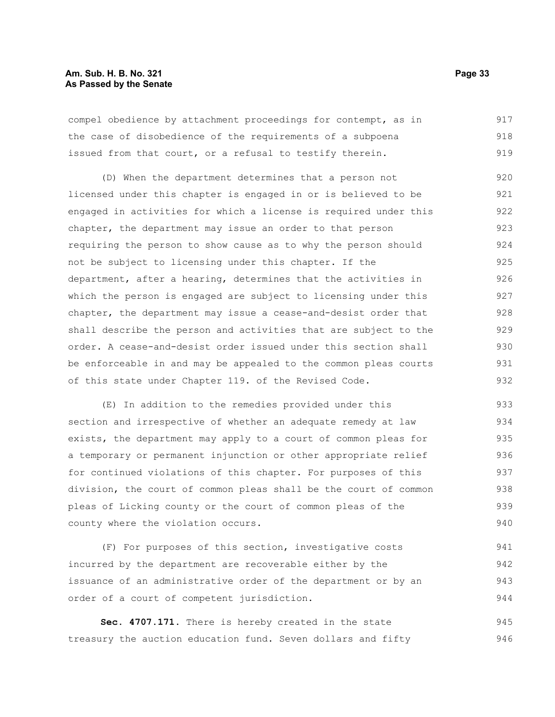#### **Am. Sub. H. B. No. 321 Page 33 As Passed by the Senate**

compel obedience by attachment proceedings for contempt, as in the case of disobedience of the requirements of a subpoena issued from that court, or a refusal to testify therein. 917 918 919

(D) When the department determines that a person not licensed under this chapter is engaged in or is believed to be engaged in activities for which a license is required under this chapter, the department may issue an order to that person requiring the person to show cause as to why the person should not be subject to licensing under this chapter. If the department, after a hearing, determines that the activities in which the person is engaged are subject to licensing under this chapter, the department may issue a cease-and-desist order that shall describe the person and activities that are subject to the order. A cease-and-desist order issued under this section shall be enforceable in and may be appealed to the common pleas courts of this state under Chapter 119. of the Revised Code. 920 921 922 923 924 925 926 927 928 929 930 931 932

(E) In addition to the remedies provided under this section and irrespective of whether an adequate remedy at law exists, the department may apply to a court of common pleas for a temporary or permanent injunction or other appropriate relief for continued violations of this chapter. For purposes of this division, the court of common pleas shall be the court of common pleas of Licking county or the court of common pleas of the county where the violation occurs. 933 934 935 936 937 938 939 940

(F) For purposes of this section, investigative costs incurred by the department are recoverable either by the issuance of an administrative order of the department or by an order of a court of competent jurisdiction. 941 942 943 944

**Sec. 4707.171.** There is hereby created in the state treasury the auction education fund. Seven dollars and fifty 945 946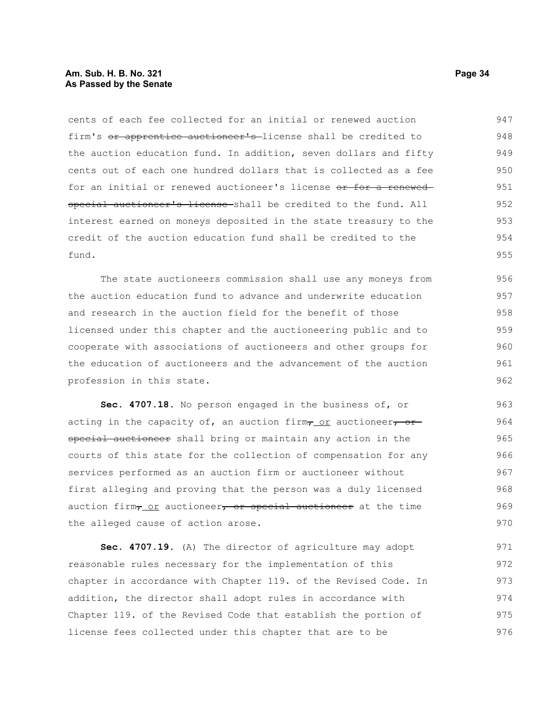#### **Am. Sub. H. B. No. 321 Page 34 As Passed by the Senate**

cents of each fee collected for an initial or renewed auction firm's or apprentice auctioneer's license shall be credited to the auction education fund. In addition, seven dollars and fifty cents out of each one hundred dollars that is collected as a fee for an initial or renewed auctioneer's license or for a renewedspecial auctioneer's license shall be credited to the fund. All interest earned on moneys deposited in the state treasury to the credit of the auction education fund shall be credited to the fund. 947 948 949 950 951 952 953 954 955

The state auctioneers commission shall use any moneys from the auction education fund to advance and underwrite education and research in the auction field for the benefit of those licensed under this chapter and the auctioneering public and to cooperate with associations of auctioneers and other groups for the education of auctioneers and the advancement of the auction profession in this state. 956 957 958 959 960 961 962

**Sec. 4707.18.** No person engaged in the business of, or acting in the capacity of, an auction firm $\tau$  or auctioneer, or special auctioneer shall bring or maintain any action in the courts of this state for the collection of compensation for any services performed as an auction firm or auctioneer without first alleging and proving that the person was a duly licensed auction firm<sub>7</sub> or auctioneer, or special auctioneer at the time the alleged cause of action arose.

**Sec. 4707.19.** (A) The director of agriculture may adopt reasonable rules necessary for the implementation of this chapter in accordance with Chapter 119. of the Revised Code. In addition, the director shall adopt rules in accordance with Chapter 119. of the Revised Code that establish the portion of license fees collected under this chapter that are to be 971 972 973 974 975 976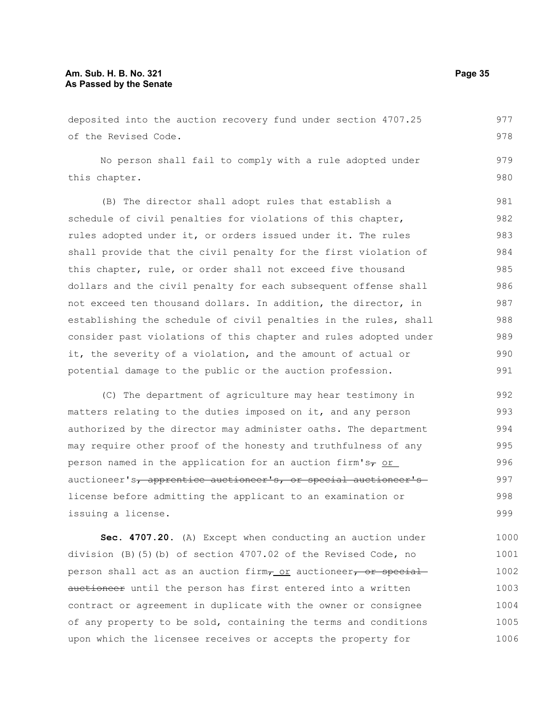#### **Am. Sub. H. B. No. 321 Page 35 As Passed by the Senate**

deposited into the auction recovery fund under section 4707.25 of the Revised Code. No person shall fail to comply with a rule adopted under this chapter. (B) The director shall adopt rules that establish a schedule of civil penalties for violations of this chapter, rules adopted under it, or orders issued under it. The rules shall provide that the civil penalty for the first violation of this chapter, rule, or order shall not exceed five thousand dollars and the civil penalty for each subsequent offense shall not exceed ten thousand dollars. In addition, the director, in establishing the schedule of civil penalties in the rules, shall consider past violations of this chapter and rules adopted under it, the severity of a violation, and the amount of actual or potential damage to the public or the auction profession. (C) The department of agriculture may hear testimony in matters relating to the duties imposed on it, and any person 977 978 979 980 981 982 983 984 985 986 987 988 989 990 991 992 993

authorized by the director may administer oaths. The department may require other proof of the honesty and truthfulness of any person named in the application for an auction firm's $\tau$  or auctioneer's, apprentice auctioneer's, or special auctioneer's license before admitting the applicant to an examination or issuing a license. 994 995 996 997 998 999

**Sec. 4707.20.** (A) Except when conducting an auction under division (B)(5)(b) of section 4707.02 of the Revised Code, no person shall act as an auction firm, or auctioneer, or special auctioneer until the person has first entered into a written contract or agreement in duplicate with the owner or consignee of any property to be sold, containing the terms and conditions upon which the licensee receives or accepts the property for 1000 1001 1002 1003 1004 1005 1006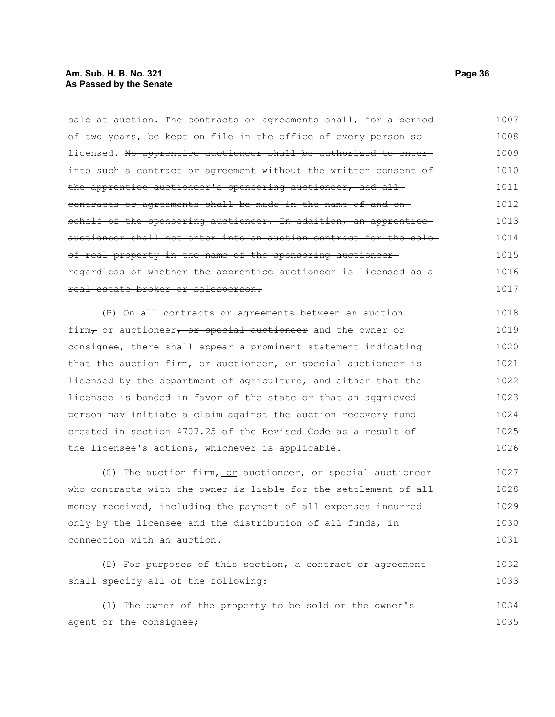#### **Am. Sub. H. B. No. 321 Page 36 As Passed by the Senate**

sale at auction. The contracts or agreements shall, for a period of two years, be kept on file in the office of every person so licensed. No apprentice auctioneer shall be authorized to enterinto such a contract or agreement without the written consent of the apprentice auctioneer's sponsoring auctioneer, and all contracts or agreements shall be made in the name of and on behalf of the sponsoring auctioneer. In addition, an apprentice auctioneer shall not enter into an auction contract for the sale of real property in the name of the sponsoring auctioneer regardless of whether the apprentice auctioneer is licensed as a real estate broker or salesperson. 1007 1008 1009 1010 1011 1012 1013 1014 1015 1016 1017

(B) On all contracts or agreements between an auction firm, or auctioneer, or special auctioneer and the owner or consignee, there shall appear a prominent statement indicating that the auction firm $_{T_{-}$  or auctioneer, or special auctioneer is licensed by the department of agriculture, and either that the licensee is bonded in favor of the state or that an aggrieved person may initiate a claim against the auction recovery fund created in section 4707.25 of the Revised Code as a result of the licensee's actions, whichever is applicable. 1018 1019 1020 1021 1022 1023 1024 1025 1026

(C) The auction firm $\tau$  or auctioneer, or special auctioneerwho contracts with the owner is liable for the settlement of all money received, including the payment of all expenses incurred only by the licensee and the distribution of all funds, in connection with an auction. 1027 1028 1029 1030 1031

(D) For purposes of this section, a contract or agreement shall specify all of the following: 1032 1033

(1) The owner of the property to be sold or the owner's agent or the consignee; 1034 1035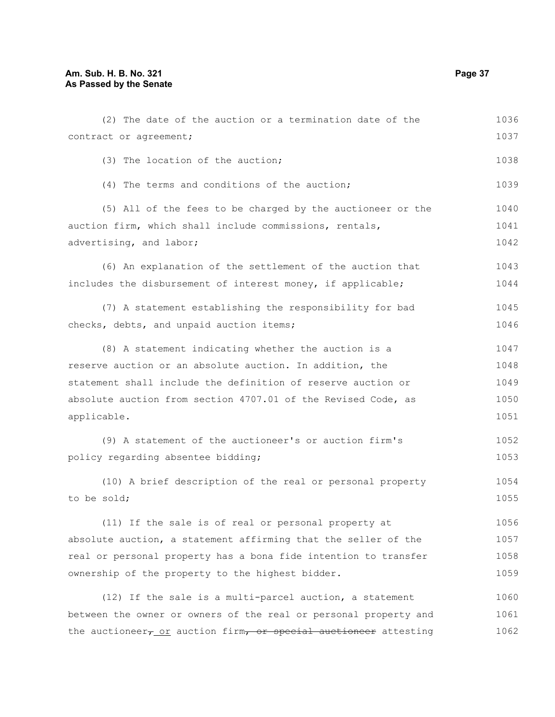## **Am. Sub. H. B. No. 321 Page 37 As Passed by the Senate**

| (2) The date of the auction or a termination date of the                     | 1036 |
|------------------------------------------------------------------------------|------|
| contract or agreement;                                                       | 1037 |
| (3) The location of the auction;                                             | 1038 |
| (4) The terms and conditions of the auction;                                 | 1039 |
| (5) All of the fees to be charged by the auctioneer or the                   | 1040 |
| auction firm, which shall include commissions, rentals,                      | 1041 |
| advertising, and labor;                                                      | 1042 |
| (6) An explanation of the settlement of the auction that                     | 1043 |
| includes the disbursement of interest money, if applicable;                  | 1044 |
| (7) A statement establishing the responsibility for bad                      | 1045 |
| checks, debts, and unpaid auction items;                                     | 1046 |
| (8) A statement indicating whether the auction is a                          | 1047 |
| reserve auction or an absolute auction. In addition, the                     | 1048 |
| statement shall include the definition of reserve auction or                 | 1049 |
| absolute auction from section 4707.01 of the Revised Code, as                | 1050 |
| applicable.                                                                  | 1051 |
| (9) A statement of the auctioneer's or auction firm's                        | 1052 |
| policy regarding absentee bidding;                                           | 1053 |
| (10) A brief description of the real or personal property                    | 1054 |
| to be sold;                                                                  | 1055 |
| (11) If the sale is of real or personal property at                          | 1056 |
| absolute auction, a statement affirming that the seller of the               | 1057 |
| real or personal property has a bona fide intention to transfer              | 1058 |
| ownership of the property to the highest bidder.                             | 1059 |
| (12) If the sale is a multi-parcel auction, a statement                      | 1060 |
| between the owner or owners of the real or personal property and             | 1061 |
| the auctioneer <sub>7_OI</sub> auction firm, or special auctioneer attesting | 1062 |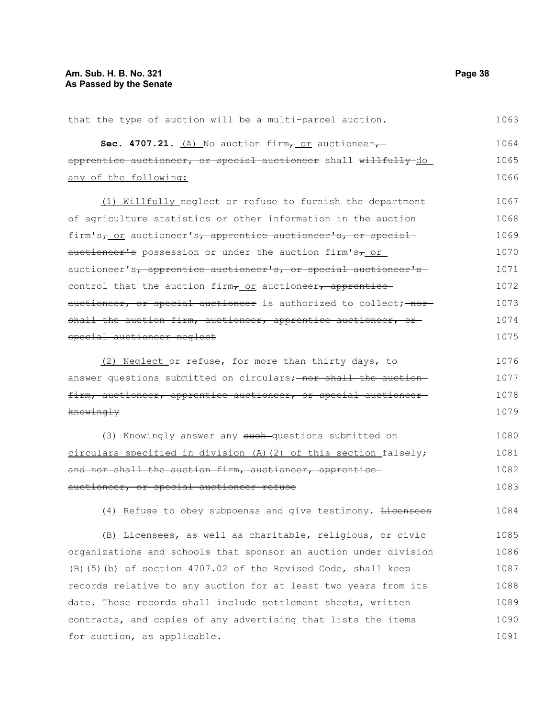| that the type of auction will be a multi-parcel auction.                             | 1063 |
|--------------------------------------------------------------------------------------|------|
| Sec. 4707.21. $(A)$ No auction firm $\tau$ or auctioneer $\tau$                      | 1064 |
| apprentice auctioneer, or special auctioneer shall willfully do                      | 1065 |
| any of the following:                                                                | 1066 |
| (1) Willfully neglect or refuse to furnish the department                            | 1067 |
| of agriculture statistics or other information in the auction                        | 1068 |
| firm's <sub>7</sub> or auctioneer's <sub>7</sub> apprentice auctioneer's, or special | 1069 |
| auctioneer's possession or under the auction firm's <sub>7</sub> or                  | 1070 |
| auctioneer's, apprentice auctioneer's, or special auctioneer's                       | 1071 |
| control that the auction firm <sub>r_Or</sub> auctioneer, apprentice                 | 1072 |
| auctioneer, or special auctioneer is authorized to collect; nor                      | 1073 |
| shall the auction firm, auctioneer, apprentice auctioneer, or                        | 1074 |
| special auctioneer neglect                                                           | 1075 |
| (2) Neglect or refuse, for more than thirty days, to                                 | 1076 |
| answer questions submitted on circulars; nor shall the auction-                      | 1077 |
| firm, auctioneer, apprentice auctioneer, or special auctioneer-                      | 1078 |
| knowingly                                                                            | 1079 |
| (3) Knowingly answer any such-questions submitted on                                 | 1080 |
| circulars specified in division (A) (2) of this section falsely;                     | 1081 |
| and nor shall the auction firm, auctioneer, apprentice                               | 1082 |
| auctioneer, or special auctioneer refuse                                             | 1083 |
| (4) Refuse to obey subpoenas and give testimony. Licensees                           | 1084 |
| (B) Licensees, as well as charitable, religious, or civic                            | 1085 |
| organizations and schools that sponsor an auction under division                     | 1086 |
| (B) (5) (b) of section 4707.02 of the Revised Code, shall keep                       | 1087 |
| records relative to any auction for at least two years from its                      | 1088 |
| date. These records shall include settlement sheets, written                         | 1089 |
| contracts, and copies of any advertising that lists the items                        | 1090 |
| for auction, as applicable.                                                          | 1091 |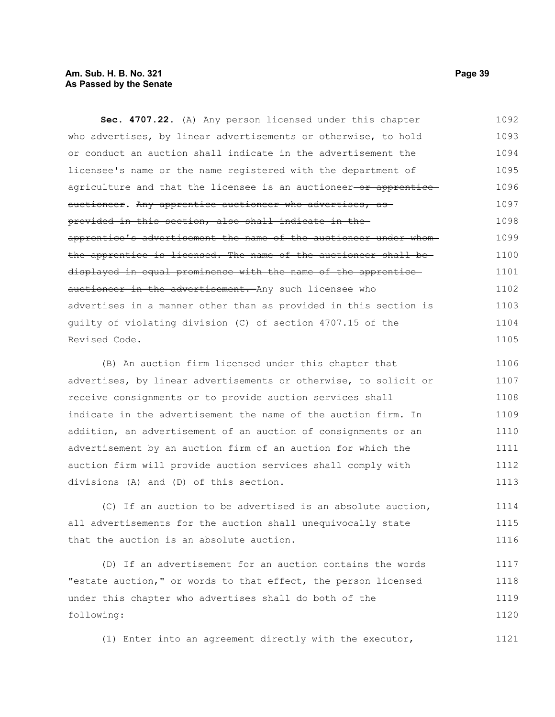#### **Am. Sub. H. B. No. 321 Page 39 As Passed by the Senate**

**Sec. 4707.22.** (A) Any person licensed under this chapter who advertises, by linear advertisements or otherwise, to hold or conduct an auction shall indicate in the advertisement the licensee's name or the name registered with the department of agriculture and that the licensee is an auctioneer-or apprenticeauctioneer. Any apprentice auctioneer who advertises, asprovided in this section, also shall indicate in the apprentice's advertisement the name of the auctioneer under whom the apprentice is licensed. The name of the auctioneer shall be displayed in equal prominence with the name of the apprentice auctioneer in the advertisement. Any such licensee who advertises in a manner other than as provided in this section is guilty of violating division (C) of section 4707.15 of the Revised Code. (B) An auction firm licensed under this chapter that 1092 1093 1094 1095 1096 1097 1098 1099 1100 1101 1102 1103 1104 1105 1106

advertises, by linear advertisements or otherwise, to solicit or receive consignments or to provide auction services shall indicate in the advertisement the name of the auction firm. In addition, an advertisement of an auction of consignments or an advertisement by an auction firm of an auction for which the auction firm will provide auction services shall comply with divisions (A) and (D) of this section. 1107 1108 1109 1110 1111 1112 1113

(C) If an auction to be advertised is an absolute auction, all advertisements for the auction shall unequivocally state that the auction is an absolute auction. 1114 1115 1116

(D) If an advertisement for an auction contains the words "estate auction," or words to that effect, the person licensed under this chapter who advertises shall do both of the following: 1117 1118 1119 1120

(1) Enter into an agreement directly with the executor,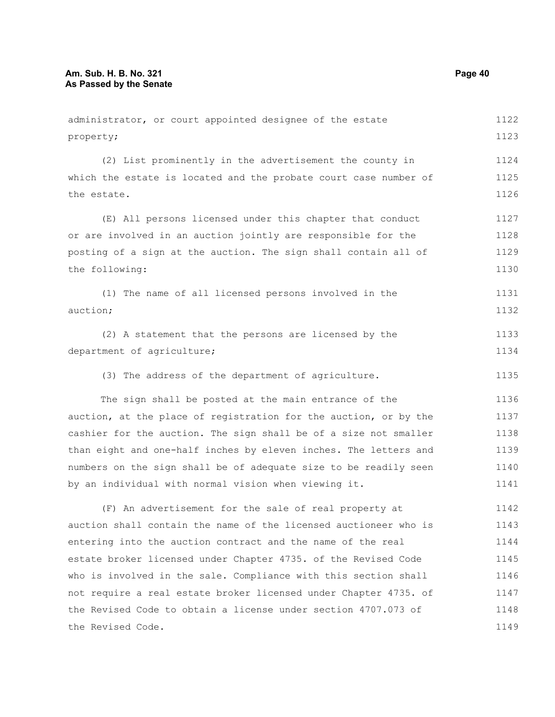the Revised Code.

administrator, or court appointed designee of the estate property; (2) List prominently in the advertisement the county in which the estate is located and the probate court case number of the estate. (E) All persons licensed under this chapter that conduct or are involved in an auction jointly are responsible for the posting of a sign at the auction. The sign shall contain all of the following: (1) The name of all licensed persons involved in the auction; (2) A statement that the persons are licensed by the department of agriculture; (3) The address of the department of agriculture. The sign shall be posted at the main entrance of the auction, at the place of registration for the auction, or by the cashier for the auction. The sign shall be of a size not smaller than eight and one-half inches by eleven inches. The letters and numbers on the sign shall be of adequate size to be readily seen by an individual with normal vision when viewing it. (F) An advertisement for the sale of real property at auction shall contain the name of the licensed auctioneer who is entering into the auction contract and the name of the real estate broker licensed under Chapter 4735. of the Revised Code who is involved in the sale. Compliance with this section shall not require a real estate broker licensed under Chapter 4735. of 1122 1123 1124 1125 1126 1127 1128 1129 1130 1131 1132 1133 1134 1135 1136 1137 1138 1139 1140 1141 1142 1143 1144 1145 1146 1147

the Revised Code to obtain a license under section 4707.073 of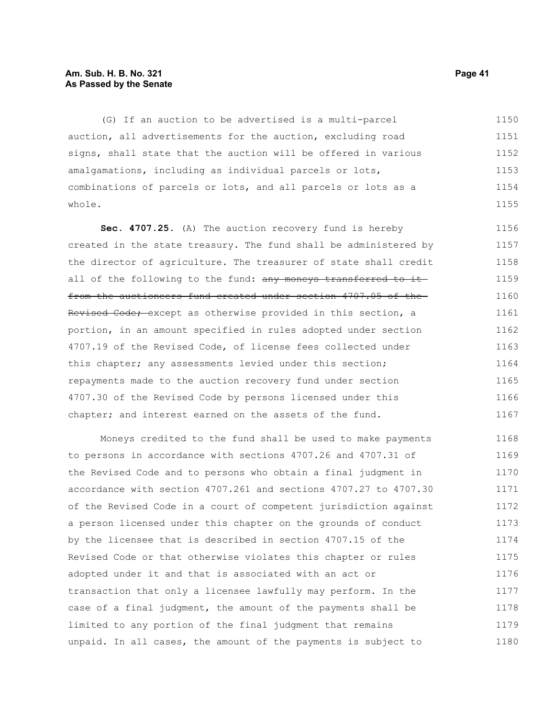#### **Am. Sub. H. B. No. 321 Page 41 As Passed by the Senate**

(G) If an auction to be advertised is a multi-parcel auction, all advertisements for the auction, excluding road signs, shall state that the auction will be offered in various amalgamations, including as individual parcels or lots, combinations of parcels or lots, and all parcels or lots as a whole. 1150 1151 1152 1153 1154 1155

**Sec. 4707.25.** (A) The auction recovery fund is hereby created in the state treasury. The fund shall be administered by the director of agriculture. The treasurer of state shall credit all of the following to the fund: any moneys transferred to itfrom the auctioneers fund created under section 4707.05 of the Revised Code; except as otherwise provided in this section, a portion, in an amount specified in rules adopted under section 4707.19 of the Revised Code, of license fees collected under this chapter; any assessments levied under this section; repayments made to the auction recovery fund under section 4707.30 of the Revised Code by persons licensed under this chapter; and interest earned on the assets of the fund. 1156 1157 1158 1159 1160 1161 1162 1163 1164 1165 1166 1167

Moneys credited to the fund shall be used to make payments to persons in accordance with sections 4707.26 and 4707.31 of the Revised Code and to persons who obtain a final judgment in accordance with section 4707.261 and sections 4707.27 to 4707.30 of the Revised Code in a court of competent jurisdiction against a person licensed under this chapter on the grounds of conduct by the licensee that is described in section 4707.15 of the Revised Code or that otherwise violates this chapter or rules adopted under it and that is associated with an act or transaction that only a licensee lawfully may perform. In the case of a final judgment, the amount of the payments shall be limited to any portion of the final judgment that remains unpaid. In all cases, the amount of the payments is subject to 1168 1169 1170 1171 1172 1173 1174 1175 1176 1177 1178 1179 1180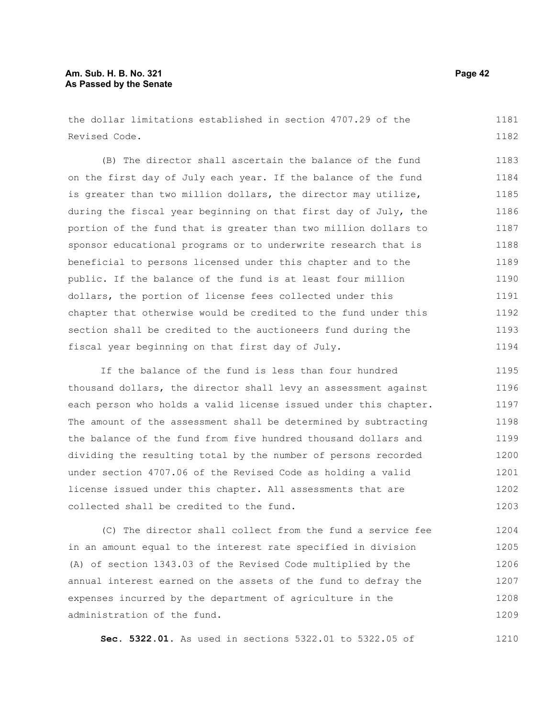#### **Am. Sub. H. B. No. 321 Page 42 As Passed by the Senate**

the dollar limitations established in section 4707.29 of the Revised Code. 1181 1182

(B) The director shall ascertain the balance of the fund on the first day of July each year. If the balance of the fund is greater than two million dollars, the director may utilize, during the fiscal year beginning on that first day of July, the portion of the fund that is greater than two million dollars to sponsor educational programs or to underwrite research that is beneficial to persons licensed under this chapter and to the public. If the balance of the fund is at least four million dollars, the portion of license fees collected under this chapter that otherwise would be credited to the fund under this section shall be credited to the auctioneers fund during the fiscal year beginning on that first day of July. 1183 1184 1185 1186 1187 1188 1189 1190 1191 1192 1193 1194

If the balance of the fund is less than four hundred thousand dollars, the director shall levy an assessment against each person who holds a valid license issued under this chapter. The amount of the assessment shall be determined by subtracting the balance of the fund from five hundred thousand dollars and dividing the resulting total by the number of persons recorded under section 4707.06 of the Revised Code as holding a valid license issued under this chapter. All assessments that are collected shall be credited to the fund. 1195 1196 1197 1198 1199 1200 1201 1202 1203

(C) The director shall collect from the fund a service fee in an amount equal to the interest rate specified in division (A) of section 1343.03 of the Revised Code multiplied by the annual interest earned on the assets of the fund to defray the expenses incurred by the department of agriculture in the administration of the fund. 1204 1205 1206 1207 1208 1209

**Sec. 5322.01.** As used in sections 5322.01 to 5322.05 of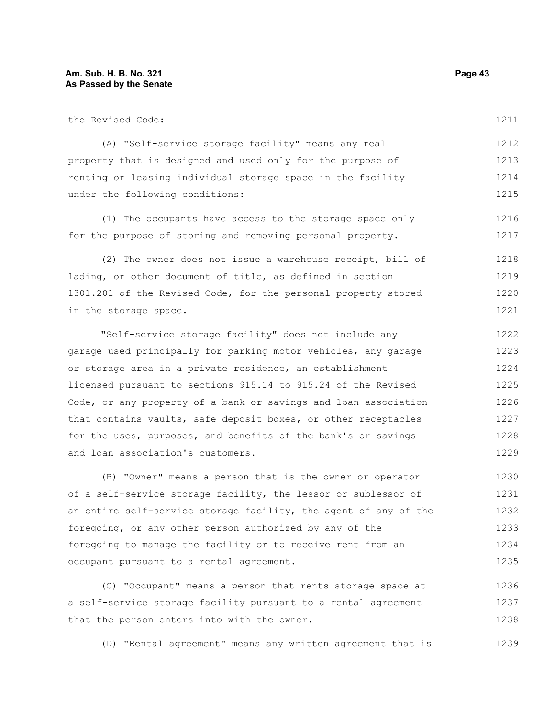1221

| the Revised Code:                                              | 1211 |
|----------------------------------------------------------------|------|
| (A) "Self-service storage facility" means any real             | 1212 |
| property that is designed and used only for the purpose of     | 1213 |
| renting or leasing individual storage space in the facility    | 1214 |
| under the following conditions:                                | 1215 |
| (1) The occupants have access to the storage space only        | 1216 |
| for the purpose of storing and removing personal property.     | 1217 |
| (2) The owner does not issue a warehouse receipt, bill of      | 1218 |
| lading, or other document of title, as defined in section      | 1219 |
| 1301.201 of the Revised Code, for the personal property stored | 1220 |

in the storage space.

"Self-service storage facility" does not include any garage used principally for parking motor vehicles, any garage or storage area in a private residence, an establishment licensed pursuant to sections 915.14 to 915.24 of the Revised Code, or any property of a bank or savings and loan association that contains vaults, safe deposit boxes, or other receptacles for the uses, purposes, and benefits of the bank's or savings and loan association's customers. 1222 1223 1224 1225 1226 1227 1228 1229

(B) "Owner" means a person that is the owner or operator of a self-service storage facility, the lessor or sublessor of an entire self-service storage facility, the agent of any of the foregoing, or any other person authorized by any of the foregoing to manage the facility or to receive rent from an occupant pursuant to a rental agreement. 1230 1231 1232 1233 1234 1235

(C) "Occupant" means a person that rents storage space at a self-service storage facility pursuant to a rental agreement that the person enters into with the owner. 1236 1237 1238

(D) "Rental agreement" means any written agreement that is 1239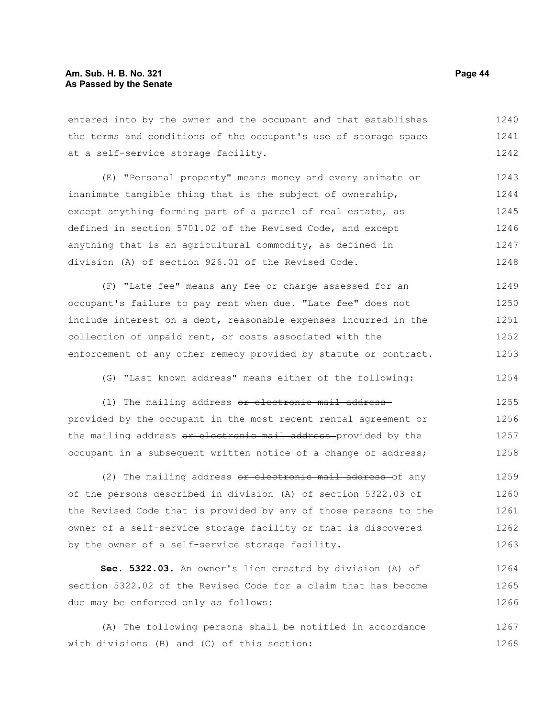entered into by the owner and the occupant and that establishes the terms and conditions of the occupant's use of storage space at a self-service storage facility. 1240 1241 1242

(E) "Personal property" means money and every animate or inanimate tangible thing that is the subject of ownership, except anything forming part of a parcel of real estate, as defined in section 5701.02 of the Revised Code, and except anything that is an agricultural commodity, as defined in division (A) of section 926.01 of the Revised Code. 1243 1244 1245 1246 1247 1248

(F) "Late fee" means any fee or charge assessed for an occupant's failure to pay rent when due. "Late fee" does not include interest on a debt, reasonable expenses incurred in the collection of unpaid rent, or costs associated with the enforcement of any other remedy provided by statute or contract. 1249 1250 1251 1252 1253

(G) "Last known address" means either of the following:

(1) The mailing address or electronic mail addressprovided by the occupant in the most recent rental agreement or the mailing address or electronic mail address provided by the occupant in a subsequent written notice of a change of address; 1255 1256 1257 1258

(2) The mailing address or electronic mail address of any of the persons described in division (A) of section 5322.03 of the Revised Code that is provided by any of those persons to the owner of a self-service storage facility or that is discovered by the owner of a self-service storage facility. 1259 1260 1261 1262 1263

**Sec. 5322.03.** An owner's lien created by division (A) of section 5322.02 of the Revised Code for a claim that has become due may be enforced only as follows: 1264 1265 1266

(A) The following persons shall be notified in accordance with divisions (B) and (C) of this section: 1267 1268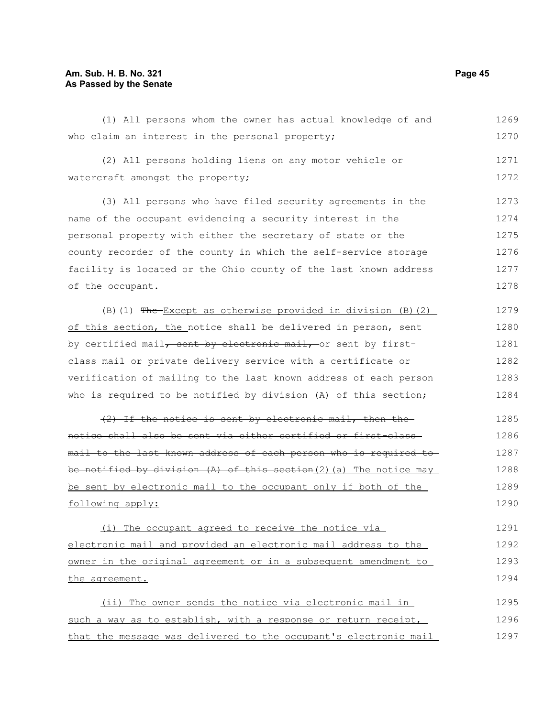#### **Am. Sub. H. B. No. 321 Page 45 As Passed by the Senate**

(1) All persons whom the owner has actual knowledge of and who claim an interest in the personal property; (2) All persons holding liens on any motor vehicle or watercraft amongst the property; (3) All persons who have filed security agreements in the name of the occupant evidencing a security interest in the personal property with either the secretary of state or the county recorder of the county in which the self-service storage facility is located or the Ohio county of the last known address of the occupant.  $(B)$  (1) The Except as otherwise provided in division (B)(2) of this section, the notice shall be delivered in person, sent by certified mail, sent by electronic mail, or sent by firstclass mail or private delivery service with a certificate or verification of mailing to the last known address of each person who is required to be notified by division (A) of this section; (2) If the notice is sent by electronic mail, then the notice shall also be sent via either certified or first-class mail to the last known address of each person who is required to be notified by division  $(A)$  of this section(2)(a) The notice may be sent by electronic mail to the occupant only if both of the following apply: (i) The occupant agreed to receive the notice via electronic mail and provided an electronic mail address to the owner in the original agreement or in a subsequent amendment to the agreement. (ii) The owner sends the notice via electronic mail in 1269 1270 1271 1272 1273 1274 1275 1276 1277 1278 1279 1280 1281 1282 1283 1284 1285 1286 1287 1288 1289 1290 1291 1292 1293 1294 1295

such a way as to establish, with a response or return receipt, that the message was delivered to the occupant's electronic mail 1296 1297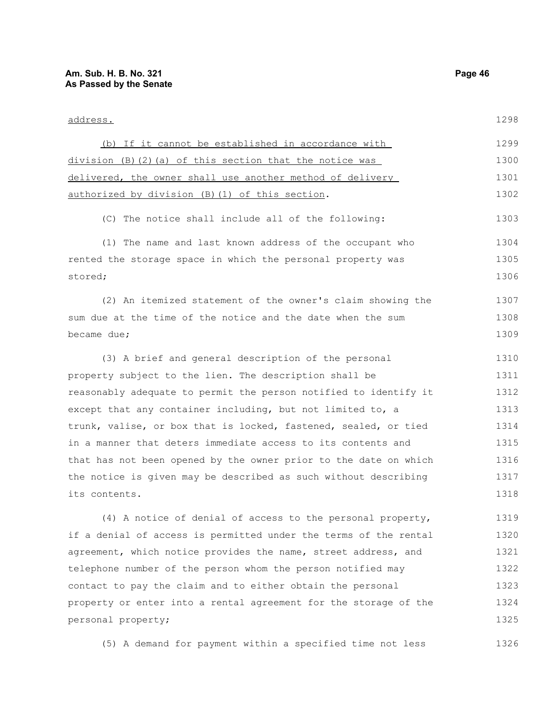| <u>address.</u>                                                  | 1298 |
|------------------------------------------------------------------|------|
| (b) If it cannot be established in accordance with               | 1299 |
| $division (B) (2) (a) of this section that the notice was$       | 1300 |
| delivered, the owner shall use another method of delivery        | 1301 |
| authorized by division (B) (1) of this section.                  | 1302 |
| (C) The notice shall include all of the following:               | 1303 |
| (1) The name and last known address of the occupant who          | 1304 |
| rented the storage space in which the personal property was      | 1305 |
| stored;                                                          | 1306 |
| (2) An itemized statement of the owner's claim showing the       | 1307 |
| sum due at the time of the notice and the date when the sum      | 1308 |
| became due;                                                      | 1309 |
| (3) A brief and general description of the personal              | 1310 |
| property subject to the lien. The description shall be           | 1311 |
| reasonably adequate to permit the person notified to identify it | 1312 |
| except that any container including, but not limited to, a       | 1313 |
| trunk, valise, or box that is locked, fastened, sealed, or tied  | 1314 |
| in a manner that deters immediate access to its contents and     | 1315 |
| that has not been opened by the owner prior to the date on which | 1316 |
| the notice is given may be described as such without describing  | 1317 |
| its contents.                                                    | 1318 |
| (4) A notice of denial of access to the personal property,       | 1319 |
| if a denial of access is permitted under the terms of the rental | 1320 |
| agreement, which notice provides the name, street address, and   | 1321 |
| telephone number of the person whom the person notified may      | 1322 |

contact to pay the claim and to either obtain the personal property or enter into a rental agreement for the storage of the personal property; 1323 1324 1325

(5) A demand for payment within a specified time not less 1326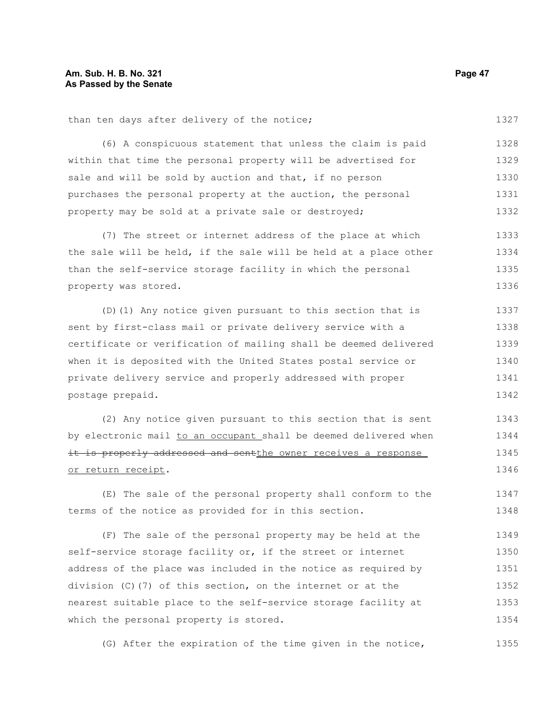(6) A conspicuous statement that unless the claim is paid within that time the personal property will be advertised for sale and will be sold by auction and that, if no person purchases the personal property at the auction, the personal property may be sold at a private sale or destroyed; 1328 1329 1330 1331 1332

(7) The street or internet address of the place at which the sale will be held, if the sale will be held at a place other than the self-service storage facility in which the personal property was stored. 1333 1334 1335 1336

(D)(1) Any notice given pursuant to this section that is sent by first-class mail or private delivery service with a certificate or verification of mailing shall be deemed delivered when it is deposited with the United States postal service or private delivery service and properly addressed with proper postage prepaid. 1337 1338 1339 1340 1341 1342

(2) Any notice given pursuant to this section that is sent by electronic mail to an occupant shall be deemed delivered when it is properly addressed and sentthe owner receives a response or return receipt. 1343 1344 1345 1346

(E) The sale of the personal property shall conform to the terms of the notice as provided for in this section. 1347 1348

(F) The sale of the personal property may be held at the self-service storage facility or, if the street or internet address of the place was included in the notice as required by division (C)(7) of this section, on the internet or at the nearest suitable place to the self-service storage facility at which the personal property is stored. 1349 1350 1351 1352 1353 1354

(G) After the expiration of the time given in the notice, 1355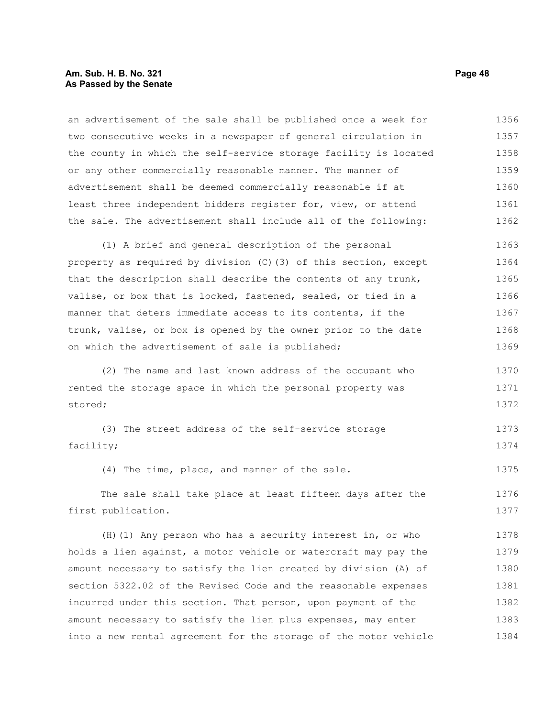#### **Am. Sub. H. B. No. 321 Page 48 As Passed by the Senate**

an advertisement of the sale shall be published once a week for two consecutive weeks in a newspaper of general circulation in the county in which the self-service storage facility is located or any other commercially reasonable manner. The manner of advertisement shall be deemed commercially reasonable if at least three independent bidders register for, view, or attend the sale. The advertisement shall include all of the following: 1356 1357 1358 1359 1360 1361 1362

(1) A brief and general description of the personal property as required by division (C)(3) of this section, except that the description shall describe the contents of any trunk, valise, or box that is locked, fastened, sealed, or tied in a manner that deters immediate access to its contents, if the trunk, valise, or box is opened by the owner prior to the date on which the advertisement of sale is published; 1363 1364 1365 1366 1367 1368 1369

(2) The name and last known address of the occupant who rented the storage space in which the personal property was stored; 1370 1371 1372

(3) The street address of the self-service storage facility; 1373 1374

(4) The time, place, and manner of the sale. 1375

The sale shall take place at least fifteen days after the first publication. 1376 1377

(H)(1) Any person who has a security interest in, or who holds a lien against, a motor vehicle or watercraft may pay the amount necessary to satisfy the lien created by division (A) of section 5322.02 of the Revised Code and the reasonable expenses incurred under this section. That person, upon payment of the amount necessary to satisfy the lien plus expenses, may enter into a new rental agreement for the storage of the motor vehicle 1378 1379 1380 1381 1382 1383 1384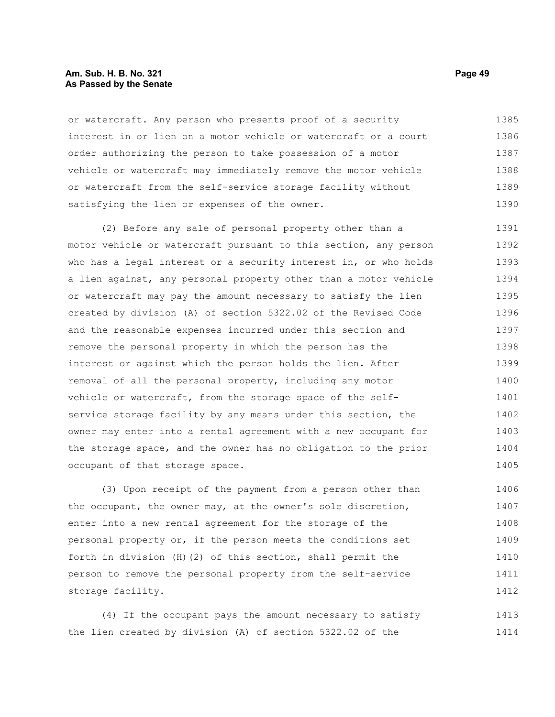#### **Am. Sub. H. B. No. 321 Page 49 As Passed by the Senate**

or watercraft. Any person who presents proof of a security interest in or lien on a motor vehicle or watercraft or a court order authorizing the person to take possession of a motor vehicle or watercraft may immediately remove the motor vehicle or watercraft from the self-service storage facility without satisfying the lien or expenses of the owner. 1385 1386 1387 1388 1389 1390

(2) Before any sale of personal property other than a motor vehicle or watercraft pursuant to this section, any person who has a legal interest or a security interest in, or who holds a lien against, any personal property other than a motor vehicle or watercraft may pay the amount necessary to satisfy the lien created by division (A) of section 5322.02 of the Revised Code and the reasonable expenses incurred under this section and remove the personal property in which the person has the interest or against which the person holds the lien. After removal of all the personal property, including any motor vehicle or watercraft, from the storage space of the selfservice storage facility by any means under this section, the owner may enter into a rental agreement with a new occupant for the storage space, and the owner has no obligation to the prior occupant of that storage space. 1391 1392 1393 1394 1395 1396 1397 1398 1399 1400 1401 1402 1403 1404 1405

(3) Upon receipt of the payment from a person other than the occupant, the owner may, at the owner's sole discretion, enter into a new rental agreement for the storage of the personal property or, if the person meets the conditions set forth in division (H)(2) of this section, shall permit the person to remove the personal property from the self-service storage facility. 1406 1407 1408 1409 1410 1411 1412

(4) If the occupant pays the amount necessary to satisfy the lien created by division (A) of section 5322.02 of the 1413 1414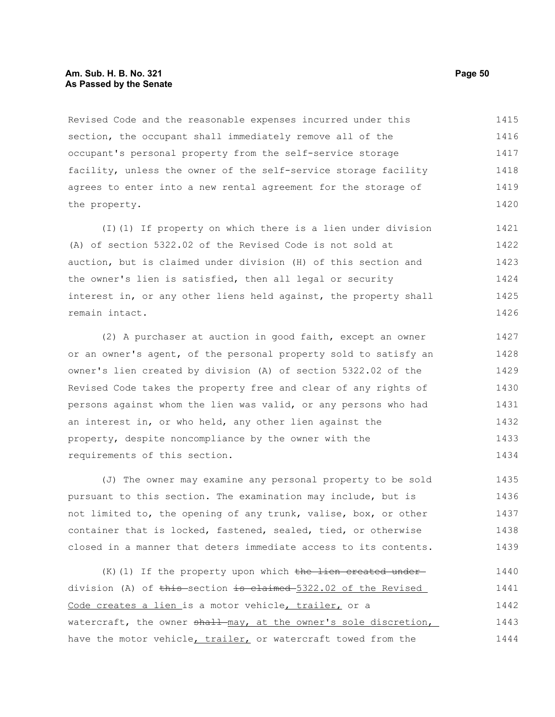#### **Am. Sub. H. B. No. 321 Page 50 As Passed by the Senate**

Revised Code and the reasonable expenses incurred under this section, the occupant shall immediately remove all of the occupant's personal property from the self-service storage facility, unless the owner of the self-service storage facility agrees to enter into a new rental agreement for the storage of the property. 1415 1416 1417 1418 1419 1420

(I)(1) If property on which there is a lien under division (A) of section 5322.02 of the Revised Code is not sold at auction, but is claimed under division (H) of this section and the owner's lien is satisfied, then all legal or security interest in, or any other liens held against, the property shall remain intact. 1421 1422 1423 1424 1425 1426

(2) A purchaser at auction in good faith, except an owner or an owner's agent, of the personal property sold to satisfy an owner's lien created by division (A) of section 5322.02 of the Revised Code takes the property free and clear of any rights of persons against whom the lien was valid, or any persons who had an interest in, or who held, any other lien against the property, despite noncompliance by the owner with the requirements of this section. 1427 1428 1429 1430 1431 1432 1433 1434

(J) The owner may examine any personal property to be sold pursuant to this section. The examination may include, but is not limited to, the opening of any trunk, valise, box, or other container that is locked, fastened, sealed, tied, or otherwise closed in a manner that deters immediate access to its contents. 1435 1436 1437 1438 1439

(K)(1) If the property upon which the lien created underdivision (A) of <del>this section is claimed 5</del>322.02 of the Revised Code creates a lien is a motor vehicle, trailer, or a watercraft, the owner shall may, at the owner's sole discretion, have the motor vehicle, trailer, or watercraft towed from the 1440 1441 1442 1443 1444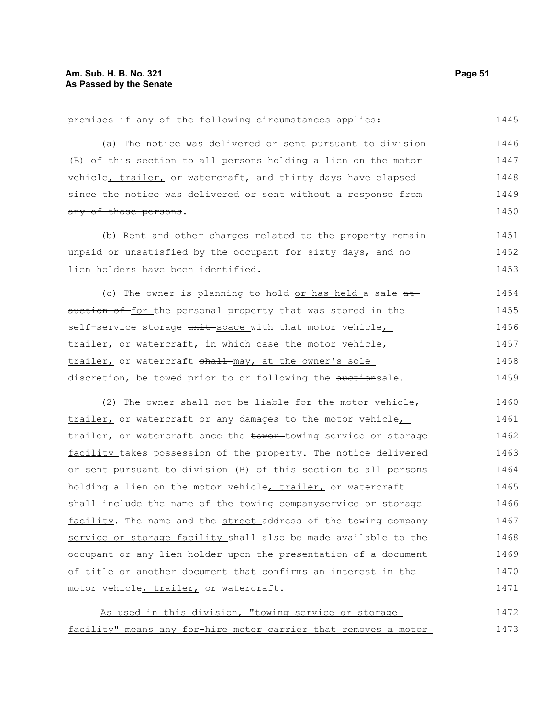premises if any of the following circumstances applies: 1445

(a) The notice was delivered or sent pursuant to division (B) of this section to all persons holding a lien on the motor vehicle, trailer, or watercraft, and thirty days have elapsed since the notice was delivered or sent-without a response fromany of those persons. 1446 1447 1448 1449 1450

(b) Rent and other charges related to the property remain unpaid or unsatisfied by the occupant for sixty days, and no lien holders have been identified. 1451 1452 1453

(c) The owner is planning to hold or has held a sale  $at$ auction of for the personal property that was stored in the self-service storage unit space with that motor vehicle trailer, or watercraft, in which case the motor vehicle, trailer, or watercraft shall may, at the owner's sole discretion, be towed prior to or following the auctionsale. 1454 1455 1456 1457 1458 1459

(2) The owner shall not be liable for the motor vehicle, trailer, or watercraft or any damages to the motor vehicle, trailer, or watercraft once the tower-towing service or storage facility takes possession of the property. The notice delivered or sent pursuant to division (B) of this section to all persons holding a lien on the motor vehicle, trailer, or watercraft shall include the name of the towing companyservice or storage facility. The name and the street address of the towing companyservice or storage facility shall also be made available to the occupant or any lien holder upon the presentation of a document of title or another document that confirms an interest in the motor vehicle, trailer, or watercraft. 1460 1461 1462 1463 1464 1465 1466 1467 1468 1469 1470 1471

As used in this division, "towing service or storage facility" means any for-hire motor carrier that removes a motor 1472 1473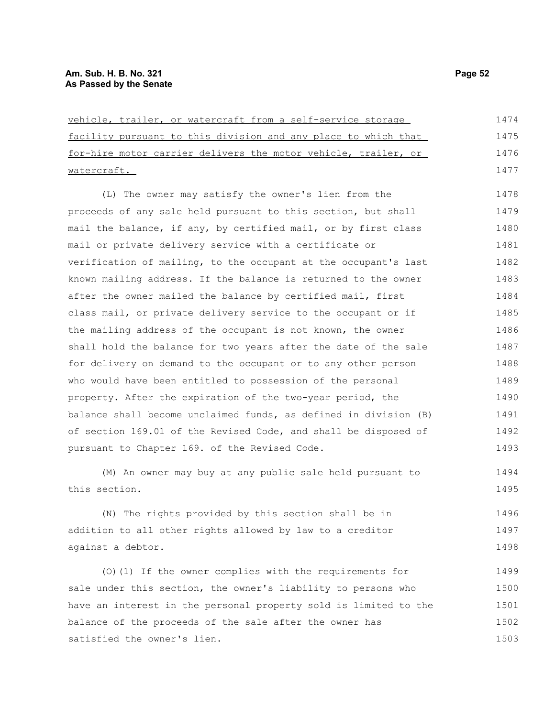| vehicle, trailer, or watercraft from a self-service storage      | 1474 |
|------------------------------------------------------------------|------|
| facility pursuant to this division and any place to which that   | 1475 |
| for-hire motor carrier delivers the motor vehicle, trailer, or   | 1476 |
| watercraft.                                                      | 1477 |
| (L) The owner may satisfy the owner's lien from the              | 1478 |
| proceeds of any sale held pursuant to this section, but shall    | 1479 |
| mail the balance, if any, by certified mail, or by first class   | 1480 |
| mail or private delivery service with a certificate or           | 1481 |
| verification of mailing, to the occupant at the occupant's last  | 1482 |
| known mailing address. If the balance is returned to the owner   | 1483 |
| after the owner mailed the balance by certified mail, first      | 1484 |
| class mail, or private delivery service to the occupant or if    | 1485 |
| the mailing address of the occupant is not known, the owner      | 1486 |
| shall hold the balance for two years after the date of the sale  | 1487 |
| for delivery on demand to the occupant or to any other person    | 1488 |
| who would have been entitled to possession of the personal       | 1489 |
| property. After the expiration of the two-year period, the       | 1490 |
| balance shall become unclaimed funds, as defined in division (B) | 1491 |
| of section 169.01 of the Revised Code, and shall be disposed of  | 1492 |
| pursuant to Chapter 169. of the Revised Code.                    | 1493 |
| (M) An owner may buy at any public sale held pursuant to         | 1494 |
| this section.                                                    | 1495 |
| (N) The rights provided by this section shall be in              | 1496 |
| addition to all other rights allowed by law to a creditor        | 1497 |
| against a debtor.                                                | 1498 |
| (0) (1) If the owner complies with the requirements for          | 1499 |
| sale under this section, the owner's liability to persons who    | 1500 |
| have an interest in the personal property sold is limited to the | 1501 |
| balance of the proceeds of the sale after the owner has          | 1502 |

satisfied the owner's lien.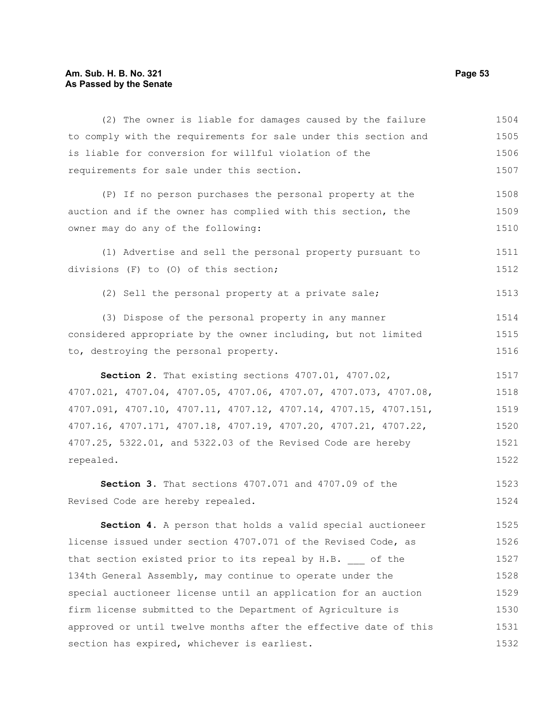## **Am. Sub. H. B. No. 321 Page 53 As Passed by the Senate**

| (2) The owner is liable for damages caused by the failure        | 1504 |
|------------------------------------------------------------------|------|
| to comply with the requirements for sale under this section and  | 1505 |
| is liable for conversion for willful violation of the            | 1506 |
| requirements for sale under this section.                        | 1507 |
| (P) If no person purchases the personal property at the          | 1508 |
| auction and if the owner has complied with this section, the     | 1509 |
| owner may do any of the following:                               | 1510 |
| (1) Advertise and sell the personal property pursuant to         | 1511 |
| divisions (F) to (0) of this section;                            | 1512 |
| (2) Sell the personal property at a private sale;                | 1513 |
| (3) Dispose of the personal property in any manner               | 1514 |
| considered appropriate by the owner including, but not limited   | 1515 |
| to, destroying the personal property.                            | 1516 |
| Section 2. That existing sections 4707.01, 4707.02,              | 1517 |
| 4707.021, 4707.04, 4707.05, 4707.06, 4707.07, 4707.073, 4707.08, | 1518 |
| 4707.091, 4707.10, 4707.11, 4707.12, 4707.14, 4707.15, 4707.151, | 1519 |
| 4707.16, 4707.171, 4707.18, 4707.19, 4707.20, 4707.21, 4707.22,  | 1520 |
| 4707.25, 5322.01, and 5322.03 of the Revised Code are hereby     | 1521 |
| repealed.                                                        | 1522 |
| Section 3. That sections 4707.071 and 4707.09 of the             | 1523 |
| Revised Code are hereby repealed.                                | 1524 |
| Section 4. A person that holds a valid special auctioneer        | 1525 |
| license issued under section 4707.071 of the Revised Code, as    | 1526 |
| that section existed prior to its repeal by H.B. of the          | 1527 |
| 134th General Assembly, may continue to operate under the        | 1528 |
| special auctioneer license until an application for an auction   | 1529 |
| firm license submitted to the Department of Agriculture is       | 1530 |
| approved or until twelve months after the effective date of this | 1531 |
| section has expired, whichever is earliest.                      | 1532 |